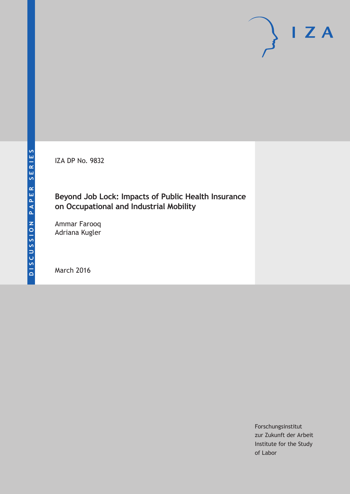IZA DP No. 9832

# **Beyond Job Lock: Impacts of Public Health Insurance on Occupational and Industrial Mobility**

Ammar Farooq Adriana Kugler

March 2016

Forschungsinstitut zur Zukunft der Arbeit Institute for the Study of Labor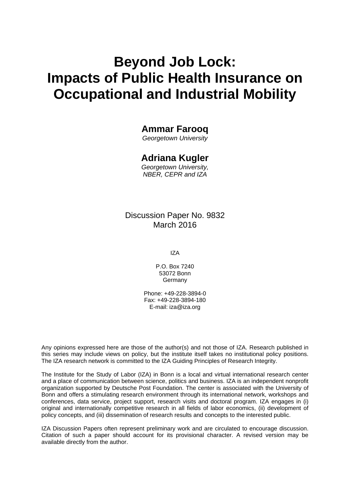# **Beyond Job Lock: Impacts of Public Health Insurance on Occupational and Industrial Mobility**

# **Ammar Farooq**

*Georgetown University* 

# **Adriana Kugler**

*Georgetown University, NBER, CEPR and IZA* 

# Discussion Paper No. 9832 March 2016

IZA

P.O. Box 7240 53072 Bonn **Germany** 

Phone: +49-228-3894-0 Fax: +49-228-3894-180 E-mail: iza@iza.org

Any opinions expressed here are those of the author(s) and not those of IZA. Research published in this series may include views on policy, but the institute itself takes no institutional policy positions. The IZA research network is committed to the IZA Guiding Principles of Research Integrity.

The Institute for the Study of Labor (IZA) in Bonn is a local and virtual international research center and a place of communication between science, politics and business. IZA is an independent nonprofit organization supported by Deutsche Post Foundation. The center is associated with the University of Bonn and offers a stimulating research environment through its international network, workshops and conferences, data service, project support, research visits and doctoral program. IZA engages in (i) original and internationally competitive research in all fields of labor economics, (ii) development of policy concepts, and (iii) dissemination of research results and concepts to the interested public.

IZA Discussion Papers often represent preliminary work and are circulated to encourage discussion. Citation of such a paper should account for its provisional character. A revised version may be available directly from the author.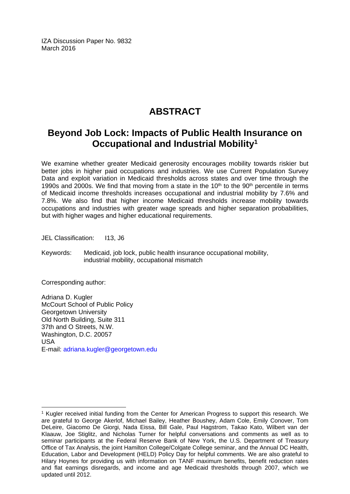IZA Discussion Paper No. 9832 March 2016

# **ABSTRACT**

# **Beyond Job Lock: Impacts of Public Health Insurance on Occupational and Industrial Mobility1**

We examine whether greater Medicaid generosity encourages mobility towards riskier but better jobs in higher paid occupations and industries. We use Current Population Survey Data and exploit variation in Medicaid thresholds across states and over time through the 1990s and 2000s. We find that moving from a state in the 10<sup>th</sup> to the 90<sup>th</sup> percentile in terms of Medicaid income thresholds increases occupational and industrial mobility by 7.6% and 7.8%. We also find that higher income Medicaid thresholds increase mobility towards occupations and industries with greater wage spreads and higher separation probabilities, but with higher wages and higher educational requirements.

JEL Classification: 113, J6

Keywords: Medicaid, job lock, public health insurance occupational mobility, industrial mobility, occupational mismatch

Corresponding author:

 $\overline{a}$ 

Adriana D. Kugler McCourt School of Public Policy Georgetown University Old North Building, Suite 311 37th and O Streets, N.W. Washington, D.C. 20057 USA E-mail: adriana.kugler@georgetown.edu

<sup>&</sup>lt;sup>1</sup> Kugler received initial funding from the Center for American Progress to support this research. We are grateful to George Akerlof, Michael Bailey, Heather Boushey, Adam Cole, Emily Conover, Tom DeLeire, Giacomo De Giorgi, Nada Eissa, Bill Gale, Paul Hagstrom, Takao Kato, Wilbert van der Klaauw, Joe Stiglitz, and Nicholas Turner for helpful conversations and comments as well as to seminar participants at the Federal Reserve Bank of New York, the U.S. Department of Treasury Office of Tax Analysis, the joint Hamilton College/Colgate College seminar, and the Annual DC Health, Education, Labor and Development (HELD) Policy Day for helpful comments. We are also grateful to Hilary Hoynes for providing us with information on TANF maximum benefits, benefit reduction rates and flat earnings disregards, and income and age Medicaid thresholds through 2007, which we updated until 2012.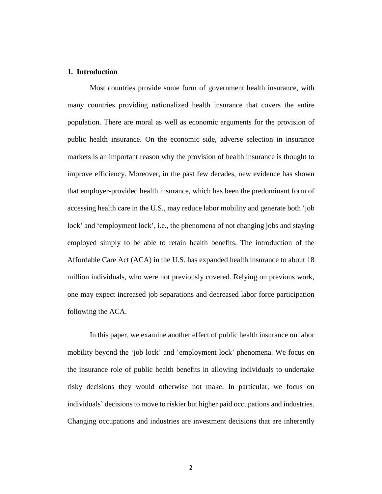### **1. Introduction**

Most countries provide some form of government health insurance, with many countries providing nationalized health insurance that covers the entire population. There are moral as well as economic arguments for the provision of public health insurance. On the economic side, adverse selection in insurance markets is an important reason why the provision of health insurance is thought to improve efficiency. Moreover, in the past few decades, new evidence has shown that employer-provided health insurance, which has been the predominant form of accessing health care in the U.S., may reduce labor mobility and generate both 'job lock' and 'employment lock', i.e., the phenomena of not changing jobs and staying employed simply to be able to retain health benefits. The introduction of the Affordable Care Act (ACA) in the U.S. has expanded health insurance to about 18 million individuals, who were not previously covered. Relying on previous work, one may expect increased job separations and decreased labor force participation following the ACA.

In this paper, we examine another effect of public health insurance on labor mobility beyond the 'job lock' and 'employment lock' phenomena. We focus on the insurance role of public health benefits in allowing individuals to undertake risky decisions they would otherwise not make. In particular, we focus on individuals' decisions to move to riskier but higher paid occupations and industries. Changing occupations and industries are investment decisions that are inherently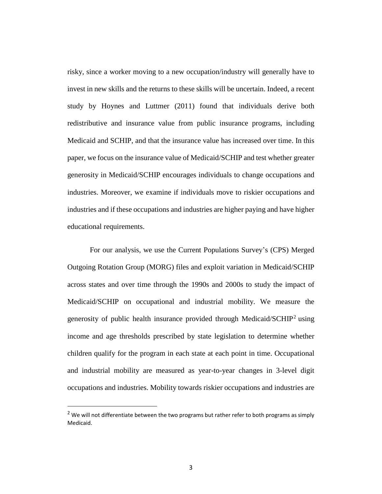risky, since a worker moving to a new occupation/industry will generally have to invest in new skills and the returns to these skills will be uncertain. Indeed, a recent study by Hoynes and Luttmer (2011) found that individuals derive both redistributive and insurance value from public insurance programs, including Medicaid and SCHIP, and that the insurance value has increased over time. In this paper, we focus on the insurance value of Medicaid/SCHIP and test whether greater generosity in Medicaid/SCHIP encourages individuals to change occupations and industries. Moreover, we examine if individuals move to riskier occupations and industries and if these occupations and industries are higher paying and have higher educational requirements.

For our analysis, we use the Current Populations Survey's (CPS) Merged Outgoing Rotation Group (MORG) files and exploit variation in Medicaid/SCHIP across states and over time through the 1990s and 2000s to study the impact of Medicaid/SCHIP on occupational and industrial mobility. We measure the generosity of public health insurance provided through Medicaid/SCHIP<sup>2</sup> using income and age thresholds prescribed by state legislation to determine whether children qualify for the program in each state at each point in time. Occupational and industrial mobility are measured as year-to-year changes in 3-level digit occupations and industries. Mobility towards riskier occupations and industries are

 $2$  We will not differentiate between the two programs but rather refer to both programs as simply Medicaid.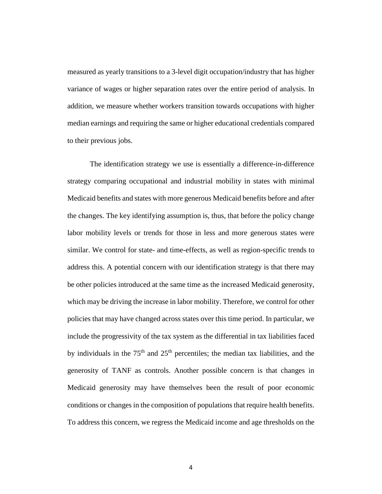measured as yearly transitions to a 3-level digit occupation/industry that has higher variance of wages or higher separation rates over the entire period of analysis. In addition, we measure whether workers transition towards occupations with higher median earnings and requiring the same or higher educational credentials compared to their previous jobs.

The identification strategy we use is essentially a difference-in-difference strategy comparing occupational and industrial mobility in states with minimal Medicaid benefits and states with more generous Medicaid benefits before and after the changes. The key identifying assumption is, thus, that before the policy change labor mobility levels or trends for those in less and more generous states were similar. We control for state- and time-effects, as well as region-specific trends to address this. A potential concern with our identification strategy is that there may be other policies introduced at the same time as the increased Medicaid generosity, which may be driving the increase in labor mobility. Therefore, we control for other policies that may have changed across states over this time period. In particular, we include the progressivity of the tax system as the differential in tax liabilities faced by individuals in the  $75<sup>th</sup>$  and  $25<sup>th</sup>$  percentiles; the median tax liabilities, and the generosity of TANF as controls. Another possible concern is that changes in Medicaid generosity may have themselves been the result of poor economic conditions or changes in the composition of populations that require health benefits. To address this concern, we regress the Medicaid income and age thresholds on the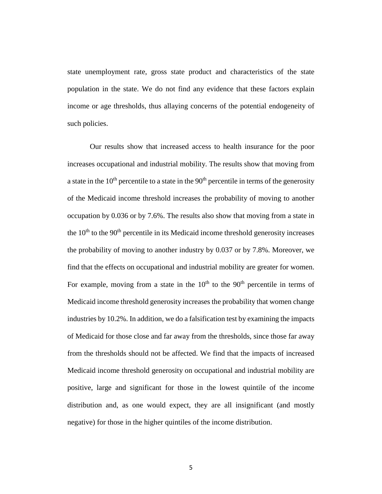state unemployment rate, gross state product and characteristics of the state population in the state. We do not find any evidence that these factors explain income or age thresholds, thus allaying concerns of the potential endogeneity of such policies.

Our results show that increased access to health insurance for the poor increases occupational and industrial mobility. The results show that moving from a state in the  $10<sup>th</sup>$  percentile to a state in the  $90<sup>th</sup>$  percentile in terms of the generosity of the Medicaid income threshold increases the probability of moving to another occupation by 0.036 or by 7.6%. The results also show that moving from a state in the  $10<sup>th</sup>$  to the  $90<sup>th</sup>$  percentile in its Medicaid income threshold generosity increases the probability of moving to another industry by 0.037 or by 7.8%. Moreover, we find that the effects on occupational and industrial mobility are greater for women. For example, moving from a state in the  $10<sup>th</sup>$  to the  $90<sup>th</sup>$  percentile in terms of Medicaid income threshold generosity increases the probability that women change industries by 10.2%. In addition, we do a falsification test by examining the impacts of Medicaid for those close and far away from the thresholds, since those far away from the thresholds should not be affected. We find that the impacts of increased Medicaid income threshold generosity on occupational and industrial mobility are positive, large and significant for those in the lowest quintile of the income distribution and, as one would expect, they are all insignificant (and mostly negative) for those in the higher quintiles of the income distribution.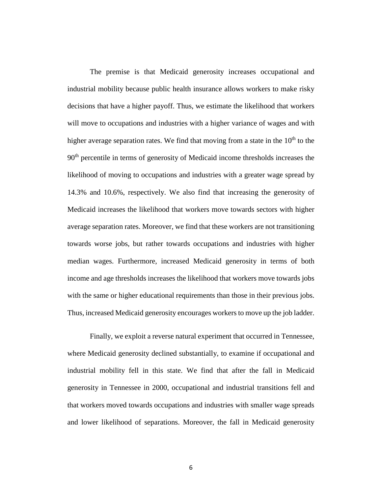The premise is that Medicaid generosity increases occupational and industrial mobility because public health insurance allows workers to make risky decisions that have a higher payoff. Thus, we estimate the likelihood that workers will move to occupations and industries with a higher variance of wages and with higher average separation rates. We find that moving from a state in the  $10<sup>th</sup>$  to the 90<sup>th</sup> percentile in terms of generosity of Medicaid income thresholds increases the likelihood of moving to occupations and industries with a greater wage spread by 14.3% and 10.6%, respectively. We also find that increasing the generosity of Medicaid increases the likelihood that workers move towards sectors with higher average separation rates. Moreover, we find that these workers are not transitioning towards worse jobs, but rather towards occupations and industries with higher median wages. Furthermore, increased Medicaid generosity in terms of both income and age thresholds increases the likelihood that workers move towards jobs with the same or higher educational requirements than those in their previous jobs. Thus, increased Medicaid generosity encourages workersto move up the job ladder.

Finally, we exploit a reverse natural experiment that occurred in Tennessee, where Medicaid generosity declined substantially, to examine if occupational and industrial mobility fell in this state. We find that after the fall in Medicaid generosity in Tennessee in 2000, occupational and industrial transitions fell and that workers moved towards occupations and industries with smaller wage spreads and lower likelihood of separations. Moreover, the fall in Medicaid generosity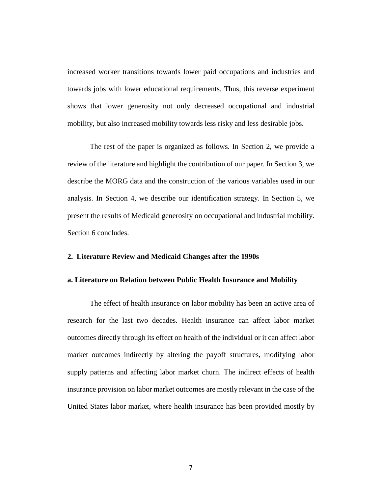increased worker transitions towards lower paid occupations and industries and towards jobs with lower educational requirements. Thus, this reverse experiment shows that lower generosity not only decreased occupational and industrial mobility, but also increased mobility towards less risky and less desirable jobs.

The rest of the paper is organized as follows. In Section 2, we provide a review of the literature and highlight the contribution of our paper. In Section 3, we describe the MORG data and the construction of the various variables used in our analysis. In Section 4, we describe our identification strategy. In Section 5, we present the results of Medicaid generosity on occupational and industrial mobility. Section 6 concludes.

#### **2. Literature Review and Medicaid Changes after the 1990s**

#### **a. Literature on Relation between Public Health Insurance and Mobility**

The effect of health insurance on labor mobility has been an active area of research for the last two decades. Health insurance can affect labor market outcomes directly through its effect on health of the individual or it can affect labor market outcomes indirectly by altering the payoff structures, modifying labor supply patterns and affecting labor market churn. The indirect effects of health insurance provision on labor market outcomes are mostly relevant in the case of the United States labor market, where health insurance has been provided mostly by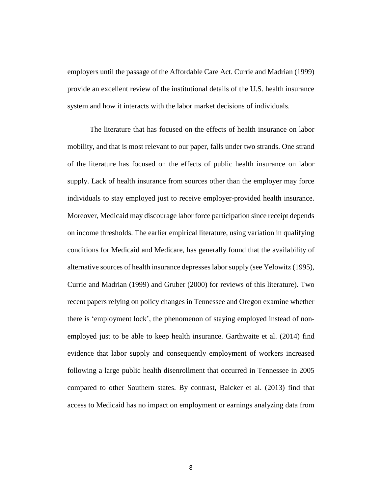employers until the passage of the Affordable Care Act. Currie and Madrian (1999) provide an excellent review of the institutional details of the U.S. health insurance system and how it interacts with the labor market decisions of individuals.

The literature that has focused on the effects of health insurance on labor mobility, and that is most relevant to our paper, falls under two strands. One strand of the literature has focused on the effects of public health insurance on labor supply. Lack of health insurance from sources other than the employer may force individuals to stay employed just to receive employer-provided health insurance. Moreover, Medicaid may discourage labor force participation since receipt depends on income thresholds. The earlier empirical literature, using variation in qualifying conditions for Medicaid and Medicare, has generally found that the availability of alternative sources of health insurance depresses laborsupply (see Yelowitz (1995), Currie and Madrian (1999) and Gruber (2000) for reviews of this literature). Two recent papers relying on policy changes in Tennessee and Oregon examine whether there is 'employment lock', the phenomenon of staying employed instead of nonemployed just to be able to keep health insurance. Garthwaite et al. (2014) find evidence that labor supply and consequently employment of workers increased following a large public health disenrollment that occurred in Tennessee in 2005 compared to other Southern states. By contrast, Baicker et al. (2013) find that access to Medicaid has no impact on employment or earnings analyzing data from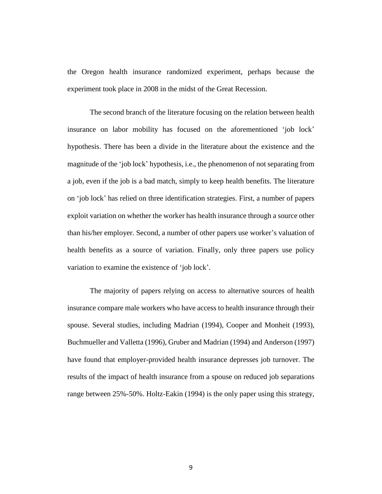the Oregon health insurance randomized experiment, perhaps because the experiment took place in 2008 in the midst of the Great Recession.

The second branch of the literature focusing on the relation between health insurance on labor mobility has focused on the aforementioned 'job lock' hypothesis. There has been a divide in the literature about the existence and the magnitude of the 'job lock' hypothesis, i.e., the phenomenon of not separating from a job, even if the job is a bad match, simply to keep health benefits. The literature on 'job lock' has relied on three identification strategies. First, a number of papers exploit variation on whether the worker has health insurance through a source other than his/her employer. Second, a number of other papers use worker's valuation of health benefits as a source of variation. Finally, only three papers use policy variation to examine the existence of 'job lock'.

The majority of papers relying on access to alternative sources of health insurance compare male workers who have access to health insurance through their spouse. Several studies, including Madrian (1994), Cooper and Monheit (1993), Buchmueller and Valletta (1996), Gruber and Madrian (1994) and Anderson (1997) have found that employer-provided health insurance depresses job turnover. The results of the impact of health insurance from a spouse on reduced job separations range between 25%-50%. Holtz-Eakin (1994) is the only paper using this strategy,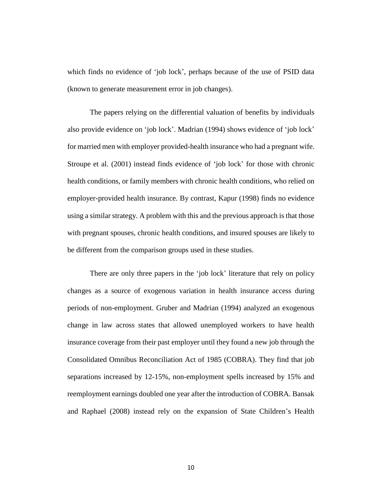which finds no evidence of 'job lock', perhaps because of the use of PSID data (known to generate measurement error in job changes).

The papers relying on the differential valuation of benefits by individuals also provide evidence on 'job lock'. Madrian (1994) shows evidence of 'job lock' for married men with employer provided-health insurance who had a pregnant wife. Stroupe et al. (2001) instead finds evidence of 'job lock' for those with chronic health conditions, or family members with chronic health conditions, who relied on employer-provided health insurance. By contrast, Kapur (1998) finds no evidence using a similar strategy. A problem with this and the previous approach is that those with pregnant spouses, chronic health conditions, and insured spouses are likely to be different from the comparison groups used in these studies.

There are only three papers in the 'job lock' literature that rely on policy changes as a source of exogenous variation in health insurance access during periods of non-employment. Gruber and Madrian (1994) analyzed an exogenous change in law across states that allowed unemployed workers to have health insurance coverage from their past employer until they found a new job through the Consolidated Omnibus Reconciliation Act of 1985 (COBRA). They find that job separations increased by 12-15%, non-employment spells increased by 15% and reemployment earnings doubled one year after the introduction of COBRA. Bansak and Raphael (2008) instead rely on the expansion of State Children's Health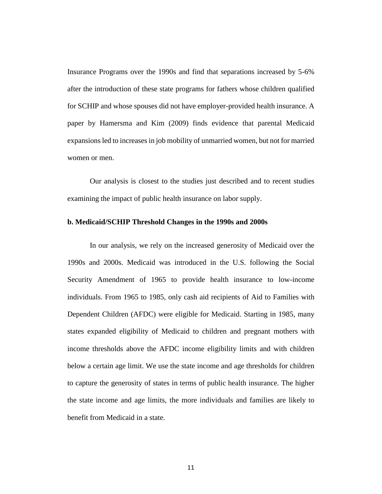Insurance Programs over the 1990s and find that separations increased by 5-6% after the introduction of these state programs for fathers whose children qualified for SCHIP and whose spouses did not have employer-provided health insurance. A paper by Hamersma and Kim (2009) finds evidence that parental Medicaid expansions led to increases in job mobility of unmarried women, but not for married women or men.

Our analysis is closest to the studies just described and to recent studies examining the impact of public health insurance on labor supply.

#### **b. Medicaid/SCHIP Threshold Changes in the 1990s and 2000s**

In our analysis, we rely on the increased generosity of Medicaid over the 1990s and 2000s. Medicaid was introduced in the U.S. following the Social Security Amendment of 1965 to provide health insurance to low-income individuals. From 1965 to 1985, only cash aid recipients of Aid to Families with Dependent Children (AFDC) were eligible for Medicaid. Starting in 1985, many states expanded eligibility of Medicaid to children and pregnant mothers with income thresholds above the AFDC income eligibility limits and with children below a certain age limit. We use the state income and age thresholds for children to capture the generosity of states in terms of public health insurance. The higher the state income and age limits, the more individuals and families are likely to benefit from Medicaid in a state.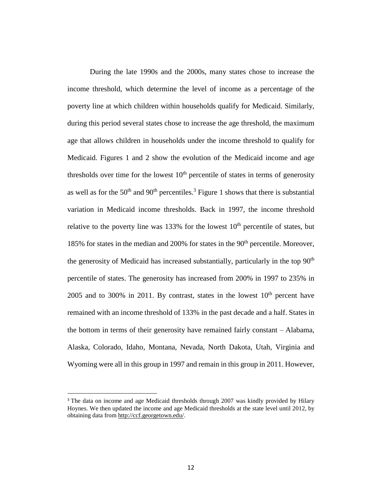During the late 1990s and the 2000s, many states chose to increase the income threshold, which determine the level of income as a percentage of the poverty line at which children within households qualify for Medicaid. Similarly, during this period several states chose to increase the age threshold, the maximum age that allows children in households under the income threshold to qualify for Medicaid. Figures 1 and 2 show the evolution of the Medicaid income and age thresholds over time for the lowest  $10<sup>th</sup>$  percentile of states in terms of generosity as well as for the  $50<sup>th</sup>$  and  $90<sup>th</sup>$  percentiles.<sup>3</sup> Figure 1 shows that there is substantial variation in Medicaid income thresholds. Back in 1997, the income threshold relative to the poverty line was  $133\%$  for the lowest  $10<sup>th</sup>$  percentile of states, but 185% for states in the median and 200% for states in the 90<sup>th</sup> percentile. Moreover, the generosity of Medicaid has increased substantially, particularly in the top  $90<sup>th</sup>$ percentile of states. The generosity has increased from 200% in 1997 to 235% in 2005 and to 300% in 2011. By contrast, states in the lowest  $10<sup>th</sup>$  percent have remained with an income threshold of 133% in the past decade and a half. States in the bottom in terms of their generosity have remained fairly constant – Alabama, Alaska, Colorado, Idaho, Montana, Nevada, North Dakota, Utah, Virginia and Wyoming were all in this group in 1997 and remain in this group in 2011. However,

<sup>&</sup>lt;sup>3</sup> The data on income and age Medicaid thresholds through 2007 was kindly provided by Hilary Hoynes. We then updated the income and age Medicaid thresholds at the state level until 2012, by obtaining data from [http://ccf.georgetown.edu/.](http://ccf.georgetown.edu/)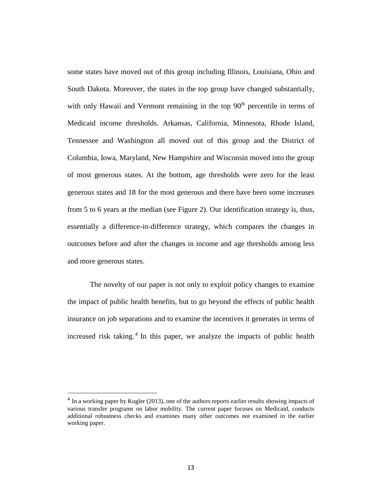some states have moved out of this group including Illinois, Louisiana, Ohio and South Dakota. Moreover, the states in the top group have changed substantially, with only Hawaii and Vermont remaining in the top  $90<sup>th</sup>$  percentile in terms of Medicaid income thresholds. Arkansas, California, Minnesota, Rhode Island, Tennessee and Washington all moved out of this group and the District of Columbia, Iowa, Maryland, New Hampshire and Wisconsin moved into the group of most generous states. At the bottom, age thresholds were zero for the least generous states and 18 for the most generous and there have been some increases from 5 to 6 years at the median (see Figure 2). Our identification strategy is, thus, essentially a difference-in-difference strategy, which compares the changes in outcomes before and after the changes in income and age thresholds among less and more generous states.

The novelty of our paper is not only to exploit policy changes to examine the impact of public health benefits, but to go beyond the effects of public health insurance on job separations and to examine the incentives it generates in terms of increased risk taking.<sup>4</sup> In this paper, we analyze the impacts of public health

 $<sup>4</sup>$  In a working paper by Kugler (2013), one of the authors reports earlier results showing impacts of</sup> various transfer programs on labor mobility. The current paper focuses on Medicaid, conducts additional robustness checks and examines many other outcomes not examined in the earlier working paper.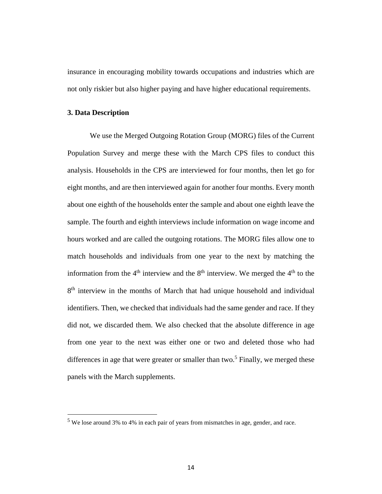insurance in encouraging mobility towards occupations and industries which are not only riskier but also higher paying and have higher educational requirements.

#### **3. Data Description**

 $\overline{a}$ 

We use the Merged Outgoing Rotation Group (MORG) files of the Current Population Survey and merge these with the March CPS files to conduct this analysis. Households in the CPS are interviewed for four months, then let go for eight months, and are then interviewed again for another four months. Every month about one eighth of the households enter the sample and about one eighth leave the sample. The fourth and eighth interviews include information on wage income and hours worked and are called the outgoing rotations. The MORG files allow one to match households and individuals from one year to the next by matching the information from the  $4<sup>th</sup>$  interview and the  $8<sup>th</sup>$  interview. We merged the  $4<sup>th</sup>$  to the 8<sup>th</sup> interview in the months of March that had unique household and individual identifiers. Then, we checked that individuals had the same gender and race. If they did not, we discarded them. We also checked that the absolute difference in age from one year to the next was either one or two and deleted those who had differences in age that were greater or smaller than two.<sup>5</sup> Finally, we merged these panels with the March supplements.

<sup>5</sup> We lose around 3% to 4% in each pair of years from mismatches in age, gender, and race.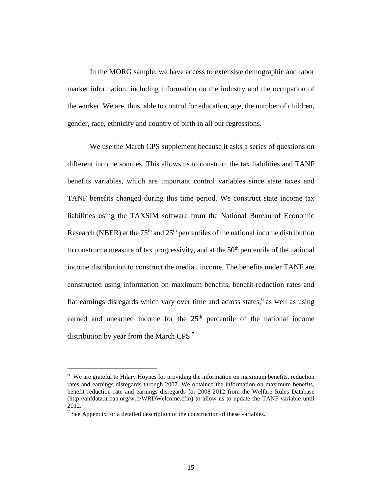In the MORG sample, we have access to extensive demographic and labor market information, including information on the industry and the occupation of the worker. We are, thus, able to control for education, age, the number of children, gender, race, ethnicity and country of birth in all our regressions.

We use the March CPS supplement because it asks a series of questions on different income sources. This allows us to construct the tax liabilities and TANF benefits variables, which are important control variables since state taxes and TANF benefits changed during this time period. We construct state income tax liabilities using the TAXSIM software from the National Bureau of Economic Research (NBER) at the  $75<sup>th</sup>$  and  $25<sup>th</sup>$  percentiles of the national income distribution to construct a measure of tax progressivity, and at the  $50<sup>th</sup>$  percentile of the national income distribution to construct the median income. The benefits under TANF are constructed using information on maximum benefits, benefit-reduction rates and flat earnings disregards which vary over time and across states,<sup>6</sup> as well as using earned and unearned income for the 25<sup>th</sup> percentile of the national income distribution by year from the March CPS. $<sup>7</sup>$ </sup>

<sup>&</sup>lt;sup>6</sup> We are grateful to Hilary Hoynes for providing the information on maximum benefits, reduction rates and earnings disregards through 2007. We obtained the information on maximum benefits, benefit reduction rate and earnings disregards for 2008-2012 from the Welfare Rules Database (http://anfdata.urban.org/wrd/WRDWelcome.cfm) to allow us to update the TANF variable until 2012.

<sup>&</sup>lt;sup>7</sup> See Appendix for a detailed description of the construction of these variables.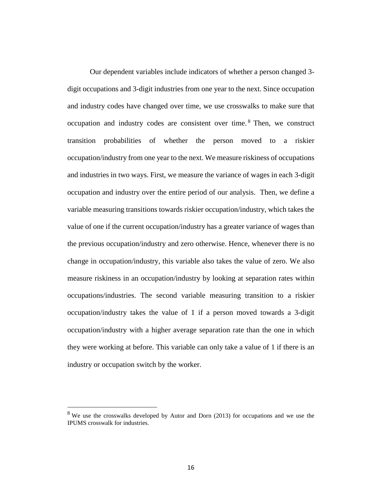Our dependent variables include indicators of whether a person changed 3 digit occupations and 3-digit industries from one year to the next. Since occupation and industry codes have changed over time, we use crosswalks to make sure that occupation and industry codes are consistent over time.<sup>8</sup> Then, we construct transition probabilities of whether the person moved to a riskier occupation/industry from one year to the next. We measure riskiness of occupations and industries in two ways. First, we measure the variance of wages in each 3-digit occupation and industry over the entire period of our analysis. Then, we define a variable measuring transitions towards riskier occupation/industry, which takes the value of one if the current occupation/industry has a greater variance of wages than the previous occupation/industry and zero otherwise. Hence, whenever there is no change in occupation/industry, this variable also takes the value of zero. We also measure riskiness in an occupation/industry by looking at separation rates within occupations/industries. The second variable measuring transition to a riskier occupation/industry takes the value of 1 if a person moved towards a 3-digit occupation/industry with a higher average separation rate than the one in which they were working at before. This variable can only take a value of 1 if there is an industry or occupation switch by the worker.

<sup>&</sup>lt;sup>8</sup> We use the crosswalks developed by Autor and Dorn (2013) for occupations and we use the IPUMS crosswalk for industries.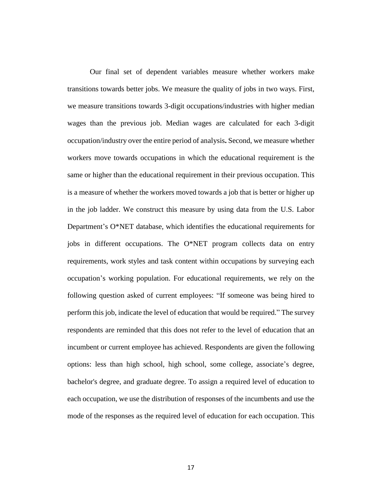Our final set of dependent variables measure whether workers make transitions towards better jobs. We measure the quality of jobs in two ways. First, we measure transitions towards 3-digit occupations/industries with higher median wages than the previous job. Median wages are calculated for each 3-digit occupation/industry over the entire period of analysis**.** Second, we measure whether workers move towards occupations in which the educational requirement is the same or higher than the educational requirement in their previous occupation. This is a measure of whether the workers moved towards a job that is better or higher up in the job ladder. We construct this measure by using data from the U.S. Labor Department's O\*NET database, which identifies the educational requirements for jobs in different occupations. The O\*NET program collects data on entry requirements, work styles and task content within occupations by surveying each occupation's working population. For educational requirements, we rely on the following question asked of current employees: "If someone was being hired to perform this job, indicate the level of education that would be required." The survey respondents are reminded that this does not refer to the level of education that an incumbent or current employee has achieved. Respondents are given the following options: less than high school, high school, some college, associate's degree, bachelor's degree, and graduate degree. To assign a required level of education to each occupation, we use the distribution of responses of the incumbents and use the mode of the responses as the required level of education for each occupation. This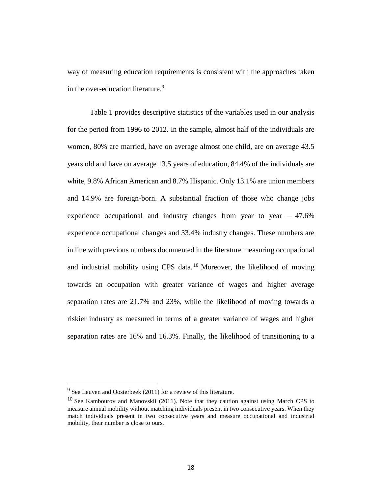way of measuring education requirements is consistent with the approaches taken in the over-education literature.<sup>9</sup>

Table 1 provides descriptive statistics of the variables used in our analysis for the period from 1996 to 2012. In the sample, almost half of the individuals are women, 80% are married, have on average almost one child, are on average 43.5 years old and have on average 13.5 years of education, 84.4% of the individuals are white, 9.8% African American and 8.7% Hispanic. Only 13.1% are union members and 14.9% are foreign-born. A substantial fraction of those who change jobs experience occupational and industry changes from year to year – 47.6% experience occupational changes and 33.4% industry changes. These numbers are in line with previous numbers documented in the literature measuring occupational and industrial mobility using CPS data. <sup>10</sup> Moreover, the likelihood of moving towards an occupation with greater variance of wages and higher average separation rates are 21.7% and 23%, while the likelihood of moving towards a riskier industry as measured in terms of a greater variance of wages and higher separation rates are 16% and 16.3%. Finally, the likelihood of transitioning to a

 $9^9$  See Leuven and Oosterbeek (2011) for a review of this literature.

<sup>&</sup>lt;sup>10</sup> See Kambourov and Manovskii (2011). Note that they caution against using March CPS to measure annual mobility without matching individuals present in two consecutive years. When they match individuals present in two consecutive years and measure occupational and industrial mobility, their number is close to ours.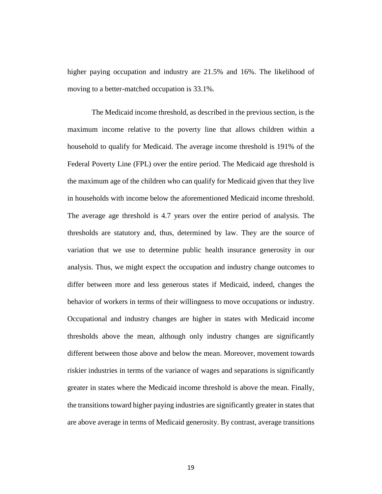higher paying occupation and industry are 21.5% and 16%. The likelihood of moving to a better-matched occupation is 33.1%.

The Medicaid income threshold, as described in the previous section, is the maximum income relative to the poverty line that allows children within a household to qualify for Medicaid. The average income threshold is 191% of the Federal Poverty Line (FPL) over the entire period. The Medicaid age threshold is the maximum age of the children who can qualify for Medicaid given that they live in households with income below the aforementioned Medicaid income threshold. The average age threshold is 4.7 years over the entire period of analysis. The thresholds are statutory and, thus, determined by law. They are the source of variation that we use to determine public health insurance generosity in our analysis. Thus, we might expect the occupation and industry change outcomes to differ between more and less generous states if Medicaid, indeed, changes the behavior of workers in terms of their willingness to move occupations or industry. Occupational and industry changes are higher in states with Medicaid income thresholds above the mean, although only industry changes are significantly different between those above and below the mean. Moreover, movement towards riskier industries in terms of the variance of wages and separations is significantly greater in states where the Medicaid income threshold is above the mean. Finally, the transitions toward higher paying industries are significantly greater in states that are above average in terms of Medicaid generosity. By contrast, average transitions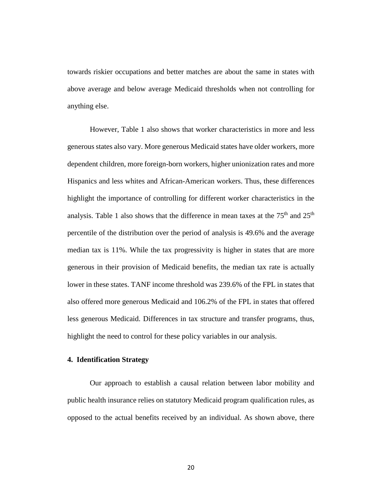towards riskier occupations and better matches are about the same in states with above average and below average Medicaid thresholds when not controlling for anything else.

However, Table 1 also shows that worker characteristics in more and less generous states also vary. More generous Medicaid states have older workers, more dependent children, more foreign-born workers, higher unionization rates and more Hispanics and less whites and African-American workers. Thus, these differences highlight the importance of controlling for different worker characteristics in the analysis. Table 1 also shows that the difference in mean taxes at the  $75<sup>th</sup>$  and  $25<sup>th</sup>$ percentile of the distribution over the period of analysis is 49.6% and the average median tax is 11%. While the tax progressivity is higher in states that are more generous in their provision of Medicaid benefits, the median tax rate is actually lower in these states. TANF income threshold was 239.6% of the FPL in states that also offered more generous Medicaid and 106.2% of the FPL in states that offered less generous Medicaid. Differences in tax structure and transfer programs, thus, highlight the need to control for these policy variables in our analysis.

### **4. Identification Strategy**

Our approach to establish a causal relation between labor mobility and public health insurance relies on statutory Medicaid program qualification rules, as opposed to the actual benefits received by an individual. As shown above, there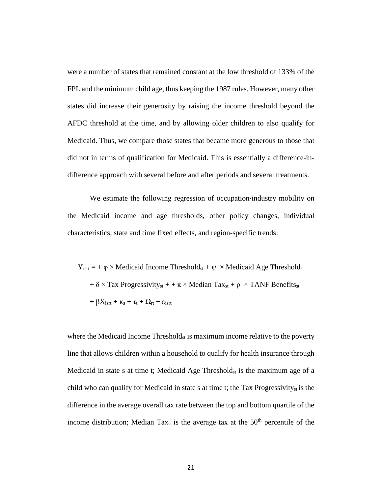were a number of states that remained constant at the low threshold of 133% of the FPL and the minimum child age, thus keeping the 1987 rules. However, many other states did increase their generosity by raising the income threshold beyond the AFDC threshold at the time, and by allowing older children to also qualify for Medicaid. Thus, we compare those states that became more generous to those that did not in terms of qualification for Medicaid. This is essentially a difference-indifference approach with several before and after periods and several treatments.

We estimate the following regression of occupation/industry mobility on the Medicaid income and age thresholds, other policy changes, individual characteristics, state and time fixed effects, and region-specific trends:

 $Y_{\text{isrt}} = + \varphi \times \text{Medicaid Income Threshold}_{\text{st}} + \psi \times \text{Medicaid Age Threshold}_{\text{st}}$  $+ \delta \times$  Tax Progressivity<sub>st</sub>  $+ + \pi \times$  Median Tax<sub>st</sub>  $+ \rho \times$  TANF Benefits<sub>st</sub> +  $\beta X_{\text{isrt}} + \kappa_s + \tau_t + \Omega_{\text{rt}} + \varepsilon_{\text{isrt}}$ 

where the Medicaid Income Threshold<sub>st</sub> is maximum income relative to the poverty line that allows children within a household to qualify for health insurance through Medicaid in state s at time t; Medicaid Age Threshold<sub>st</sub> is the maximum age of a child who can qualify for Medicaid in state s at time t; the Tax Progressivity<sub>st</sub> is the difference in the average overall tax rate between the top and bottom quartile of the income distribution; Median Tax<sub>st</sub> is the average tax at the  $50<sup>th</sup>$  percentile of the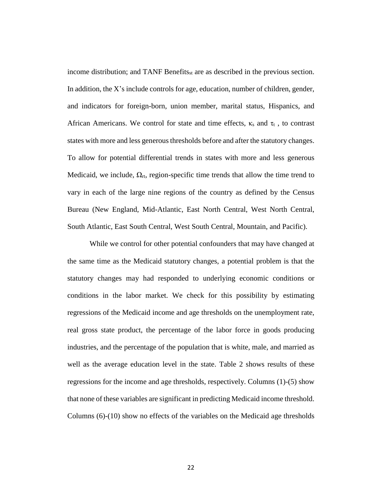income distribution; and TANF Benefits<sub>st</sub> are as described in the previous section. In addition, the X's include controls for age, education, number of children, gender, and indicators for foreign-born, union member, marital status, Hispanics, and African Americans. We control for state and time effects,  $\kappa_s$  and  $\tau_t$ , to contrast states with more and less generous thresholds before and after the statutory changes. To allow for potential differential trends in states with more and less generous Medicaid, we include,  $\Omega_{rt}$ , region-specific time trends that allow the time trend to vary in each of the large nine regions of the country as defined by the Census Bureau (New England, Mid-Atlantic, East North Central, West North Central, South Atlantic, East South Central, West South Central, Mountain, and Pacific).

While we control for other potential confounders that may have changed at the same time as the Medicaid statutory changes, a potential problem is that the statutory changes may had responded to underlying economic conditions or conditions in the labor market. We check for this possibility by estimating regressions of the Medicaid income and age thresholds on the unemployment rate, real gross state product, the percentage of the labor force in goods producing industries, and the percentage of the population that is white, male, and married as well as the average education level in the state. Table 2 shows results of these regressions for the income and age thresholds, respectively. Columns (1)-(5) show that none of these variables are significant in predicting Medicaid income threshold. Columns (6)-(10) show no effects of the variables on the Medicaid age thresholds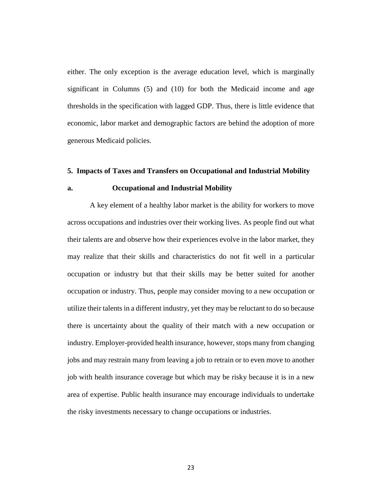either. The only exception is the average education level, which is marginally significant in Columns (5) and (10) for both the Medicaid income and age thresholds in the specification with lagged GDP. Thus, there is little evidence that economic, labor market and demographic factors are behind the adoption of more generous Medicaid policies.

#### **5. Impacts of Taxes and Transfers on Occupational and Industrial Mobility**

#### **a. Occupational and Industrial Mobility**

A key element of a healthy labor market is the ability for workers to move across occupations and industries over their working lives. As people find out what their talents are and observe how their experiences evolve in the labor market, they may realize that their skills and characteristics do not fit well in a particular occupation or industry but that their skills may be better suited for another occupation or industry. Thus, people may consider moving to a new occupation or utilize their talents in a different industry, yet they may be reluctant to do so because there is uncertainty about the quality of their match with a new occupation or industry. Employer-provided health insurance, however, stops many from changing jobs and may restrain many from leaving a job to retrain or to even move to another job with health insurance coverage but which may be risky because it is in a new area of expertise. Public health insurance may encourage individuals to undertake the risky investments necessary to change occupations or industries.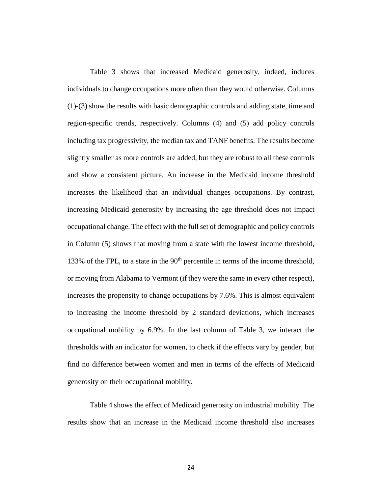Table 3 shows that increased Medicaid generosity, indeed, induces individuals to change occupations more often than they would otherwise. Columns (1)-(3) show the results with basic demographic controls and adding state, time and region-specific trends, respectively. Columns (4) and (5) add policy controls including tax progressivity, the median tax and TANF benefits. The results become slightly smaller as more controls are added, but they are robust to all these controls and show a consistent picture. An increase in the Medicaid income threshold increases the likelihood that an individual changes occupations. By contrast, increasing Medicaid generosity by increasing the age threshold does not impact occupational change. The effect with the fullset of demographic and policy controls in Column (5) shows that moving from a state with the lowest income threshold, 133% of the FPL, to a state in the  $90<sup>th</sup>$  percentile in terms of the income threshold, or moving from Alabama to Vermont (if they were the same in every other respect), increases the propensity to change occupations by 7.6%. This is almost equivalent to increasing the income threshold by 2 standard deviations, which increases occupational mobility by 6.9%. In the last column of Table 3, we interact the thresholds with an indicator for women, to check if the effects vary by gender, but find no difference between women and men in terms of the effects of Medicaid generosity on their occupational mobility.

Table 4 shows the effect of Medicaid generosity on industrial mobility. The results show that an increase in the Medicaid income threshold also increases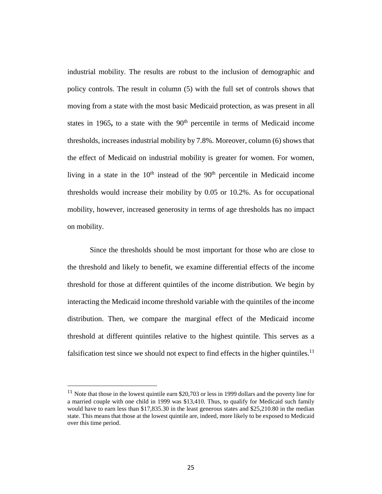industrial mobility. The results are robust to the inclusion of demographic and policy controls. The result in column (5) with the full set of controls shows that moving from a state with the most basic Medicaid protection, as was present in all states in 1965, to a state with the  $90<sup>th</sup>$  percentile in terms of Medicaid income thresholds, increases industrial mobility by 7.8%. Moreover, column (6) shows that the effect of Medicaid on industrial mobility is greater for women. For women, living in a state in the  $10<sup>th</sup>$  instead of the  $90<sup>th</sup>$  percentile in Medicaid income thresholds would increase their mobility by 0.05 or 10.2%. As for occupational mobility, however, increased generosity in terms of age thresholds has no impact on mobility.

Since the thresholds should be most important for those who are close to the threshold and likely to benefit, we examine differential effects of the income threshold for those at different quintiles of the income distribution. We begin by interacting the Medicaid income threshold variable with the quintiles of the income distribution. Then, we compare the marginal effect of the Medicaid income threshold at different quintiles relative to the highest quintile. This serves as a falsification test since we should not expect to find effects in the higher quintiles.<sup>11</sup>

 $11$  Note that those in the lowest quintile earn \$20,703 or less in 1999 dollars and the poverty line for a married couple with one child in 1999 was \$13,410. Thus, to qualify for Medicaid such family would have to earn less than \$17,835.30 in the least generous states and \$25,210.80 in the median state. This means that those at the lowest quintile are, indeed, more likely to be exposed to Medicaid over this time period.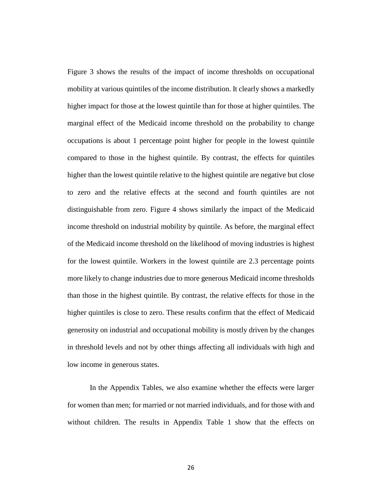Figure 3 shows the results of the impact of income thresholds on occupational mobility at various quintiles of the income distribution. It clearly shows a markedly higher impact for those at the lowest quintile than for those at higher quintiles. The marginal effect of the Medicaid income threshold on the probability to change occupations is about 1 percentage point higher for people in the lowest quintile compared to those in the highest quintile. By contrast, the effects for quintiles higher than the lowest quintile relative to the highest quintile are negative but close to zero and the relative effects at the second and fourth quintiles are not distinguishable from zero. Figure 4 shows similarly the impact of the Medicaid income threshold on industrial mobility by quintile. As before, the marginal effect of the Medicaid income threshold on the likelihood of moving industries is highest for the lowest quintile. Workers in the lowest quintile are 2.3 percentage points more likely to change industries due to more generous Medicaid income thresholds than those in the highest quintile. By contrast, the relative effects for those in the higher quintiles is close to zero. These results confirm that the effect of Medicaid generosity on industrial and occupational mobility is mostly driven by the changes in threshold levels and not by other things affecting all individuals with high and low income in generous states.

In the Appendix Tables, we also examine whether the effects were larger for women than men; for married or not married individuals, and for those with and without children. The results in Appendix Table 1 show that the effects on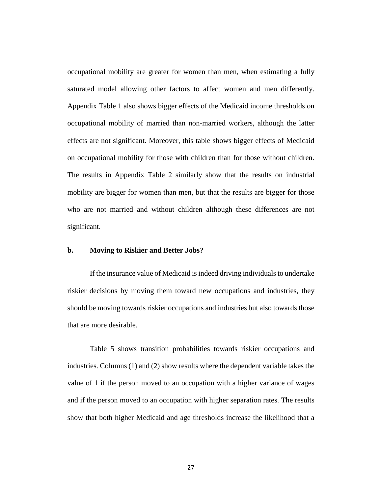occupational mobility are greater for women than men, when estimating a fully saturated model allowing other factors to affect women and men differently. Appendix Table 1 also shows bigger effects of the Medicaid income thresholds on occupational mobility of married than non-married workers, although the latter effects are not significant. Moreover, this table shows bigger effects of Medicaid on occupational mobility for those with children than for those without children. The results in Appendix Table 2 similarly show that the results on industrial mobility are bigger for women than men, but that the results are bigger for those who are not married and without children although these differences are not significant.

#### **b. Moving to Riskier and Better Jobs?**

If the insurance value of Medicaid is indeed driving individuals to undertake riskier decisions by moving them toward new occupations and industries, they should be moving towards riskier occupations and industries but also towards those that are more desirable.

Table 5 shows transition probabilities towards riskier occupations and industries. Columns (1) and (2) show results where the dependent variable takes the value of 1 if the person moved to an occupation with a higher variance of wages and if the person moved to an occupation with higher separation rates. The results show that both higher Medicaid and age thresholds increase the likelihood that a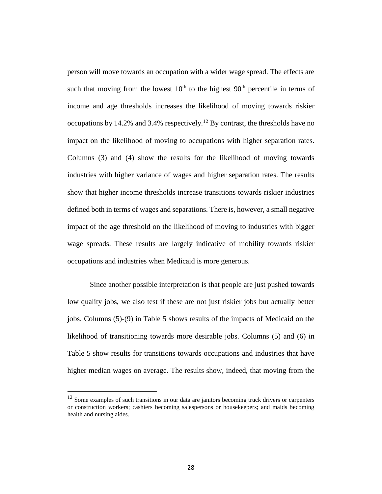person will move towards an occupation with a wider wage spread. The effects are such that moving from the lowest  $10<sup>th</sup>$  to the highest  $90<sup>th</sup>$  percentile in terms of income and age thresholds increases the likelihood of moving towards riskier occupations by 14.2% and 3.4% respectively.<sup>12</sup> By contrast, the thresholds have no impact on the likelihood of moving to occupations with higher separation rates. Columns (3) and (4) show the results for the likelihood of moving towards industries with higher variance of wages and higher separation rates. The results show that higher income thresholds increase transitions towards riskier industries defined both in terms of wages and separations. There is, however, a small negative impact of the age threshold on the likelihood of moving to industries with bigger wage spreads. These results are largely indicative of mobility towards riskier occupations and industries when Medicaid is more generous.

Since another possible interpretation is that people are just pushed towards low quality jobs, we also test if these are not just riskier jobs but actually better jobs. Columns (5)-(9) in Table 5 shows results of the impacts of Medicaid on the likelihood of transitioning towards more desirable jobs. Columns (5) and (6) in Table 5 show results for transitions towards occupations and industries that have higher median wages on average. The results show, indeed, that moving from the

 $12$  Some examples of such transitions in our data are janitors becoming truck drivers or carpenters or construction workers; cashiers becoming salespersons or housekeepers; and maids becoming health and nursing aides.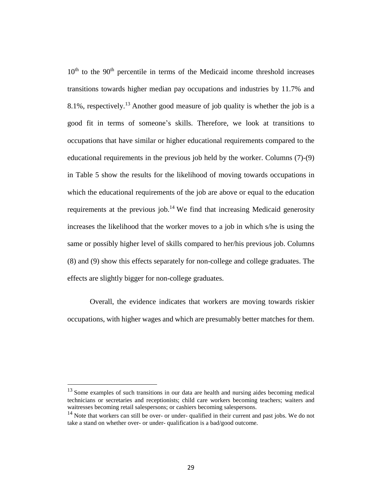$10<sup>th</sup>$  to the  $90<sup>th</sup>$  percentile in terms of the Medicaid income threshold increases transitions towards higher median pay occupations and industries by 11.7% and 8.1%, respectively.<sup>13</sup> Another good measure of job quality is whether the job is a good fit in terms of someone's skills. Therefore, we look at transitions to occupations that have similar or higher educational requirements compared to the educational requirements in the previous job held by the worker. Columns (7)-(9) in Table 5 show the results for the likelihood of moving towards occupations in which the educational requirements of the job are above or equal to the education requirements at the previous job.<sup>14</sup> We find that increasing Medicaid generosity increases the likelihood that the worker moves to a job in which s/he is using the same or possibly higher level of skills compared to her/his previous job. Columns (8) and (9) show this effects separately for non-college and college graduates. The effects are slightly bigger for non-college graduates.

Overall, the evidence indicates that workers are moving towards riskier occupations, with higher wages and which are presumably better matches for them.

 $13$  Some examples of such transitions in our data are health and nursing aides becoming medical technicians or secretaries and receptionists; child care workers becoming teachers; waiters and waitresses becoming retail salespersons; or cashiers becoming salespersons.

 $14$  Note that workers can still be over- or under- qualified in their current and past jobs. We do not take a stand on whether over- or under- qualification is a bad/good outcome.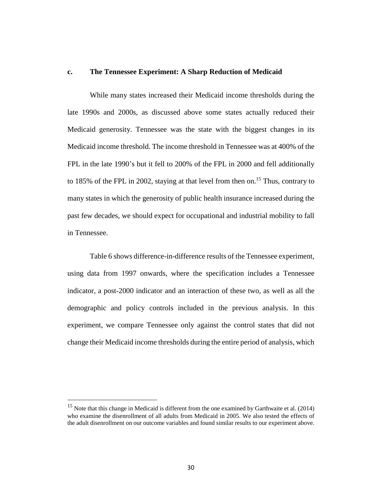#### **c. The Tennessee Experiment: A Sharp Reduction of Medicaid**

While many states increased their Medicaid income thresholds during the late 1990s and 2000s, as discussed above some states actually reduced their Medicaid generosity. Tennessee was the state with the biggest changes in its Medicaid income threshold. The income threshold in Tennessee was at 400% of the FPL in the late 1990's but it fell to 200% of the FPL in 2000 and fell additionally to 185% of the FPL in 2002, staying at that level from then on.<sup>15</sup> Thus, contrary to many states in which the generosity of public health insurance increased during the past few decades, we should expect for occupational and industrial mobility to fall in Tennessee.

Table 6 shows difference-in-difference results of the Tennessee experiment, using data from 1997 onwards, where the specification includes a Tennessee indicator, a post-2000 indicator and an interaction of these two, as well as all the demographic and policy controls included in the previous analysis. In this experiment, we compare Tennessee only against the control states that did not change their Medicaid income thresholds during the entire period of analysis, which

<sup>&</sup>lt;sup>15</sup> Note that this change in Medicaid is different from the one examined by Garthwaite et al. (2014) who examine the disenrollment of all adults from Medicaid in 2005. We also tested the effects of the adult disenrollment on our outcome variables and found similar results to our experiment above.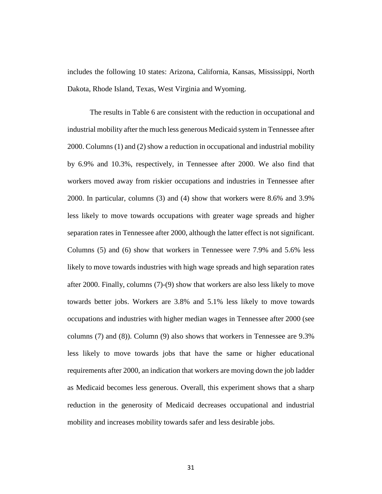includes the following 10 states: Arizona, California, Kansas, Mississippi, North Dakota, Rhode Island, Texas, West Virginia and Wyoming.

The results in Table 6 are consistent with the reduction in occupational and industrial mobility after the much less generous Medicaid system in Tennessee after 2000. Columns (1) and (2) show a reduction in occupational and industrial mobility by 6.9% and 10.3%, respectively, in Tennessee after 2000. We also find that workers moved away from riskier occupations and industries in Tennessee after 2000. In particular, columns (3) and (4) show that workers were 8.6% and 3.9% less likely to move towards occupations with greater wage spreads and higher separation rates in Tennessee after 2000, although the latter effect is not significant. Columns (5) and (6) show that workers in Tennessee were 7.9% and 5.6% less likely to move towards industries with high wage spreads and high separation rates after 2000. Finally, columns (7)-(9) show that workers are also less likely to move towards better jobs. Workers are 3.8% and 5.1% less likely to move towards occupations and industries with higher median wages in Tennessee after 2000 (see columns (7) and (8)). Column (9) also shows that workers in Tennessee are 9.3% less likely to move towards jobs that have the same or higher educational requirements after 2000, an indication that workers are moving down the job ladder as Medicaid becomes less generous. Overall, this experiment shows that a sharp reduction in the generosity of Medicaid decreases occupational and industrial mobility and increases mobility towards safer and less desirable jobs.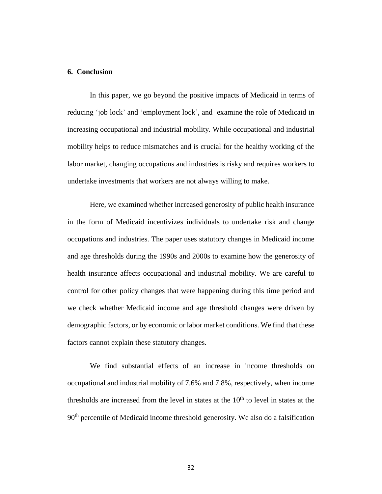### **6. Conclusion**

In this paper, we go beyond the positive impacts of Medicaid in terms of reducing 'job lock' and 'employment lock', and examine the role of Medicaid in increasing occupational and industrial mobility. While occupational and industrial mobility helps to reduce mismatches and is crucial for the healthy working of the labor market, changing occupations and industries is risky and requires workers to undertake investments that workers are not always willing to make.

Here, we examined whether increased generosity of public health insurance in the form of Medicaid incentivizes individuals to undertake risk and change occupations and industries. The paper uses statutory changes in Medicaid income and age thresholds during the 1990s and 2000s to examine how the generosity of health insurance affects occupational and industrial mobility. We are careful to control for other policy changes that were happening during this time period and we check whether Medicaid income and age threshold changes were driven by demographic factors, or by economic or labor market conditions. We find that these factors cannot explain these statutory changes.

We find substantial effects of an increase in income thresholds on occupational and industrial mobility of 7.6% and 7.8%, respectively, when income thresholds are increased from the level in states at the  $10<sup>th</sup>$  to level in states at the 90<sup>th</sup> percentile of Medicaid income threshold generosity. We also do a falsification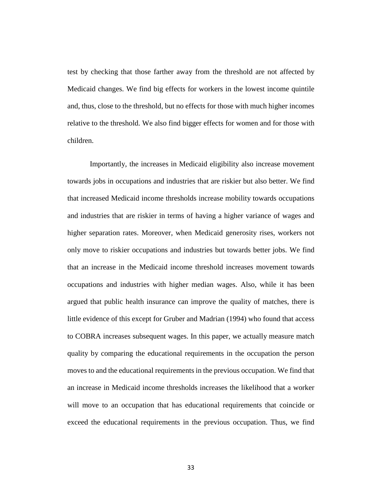test by checking that those farther away from the threshold are not affected by Medicaid changes. We find big effects for workers in the lowest income quintile and, thus, close to the threshold, but no effects for those with much higher incomes relative to the threshold. We also find bigger effects for women and for those with children.

Importantly, the increases in Medicaid eligibility also increase movement towards jobs in occupations and industries that are riskier but also better. We find that increased Medicaid income thresholds increase mobility towards occupations and industries that are riskier in terms of having a higher variance of wages and higher separation rates. Moreover, when Medicaid generosity rises, workers not only move to riskier occupations and industries but towards better jobs. We find that an increase in the Medicaid income threshold increases movement towards occupations and industries with higher median wages. Also, while it has been argued that public health insurance can improve the quality of matches, there is little evidence of this except for Gruber and Madrian (1994) who found that access to COBRA increases subsequent wages. In this paper, we actually measure match quality by comparing the educational requirements in the occupation the person moves to and the educational requirements in the previous occupation. We find that an increase in Medicaid income thresholds increases the likelihood that a worker will move to an occupation that has educational requirements that coincide or exceed the educational requirements in the previous occupation. Thus, we find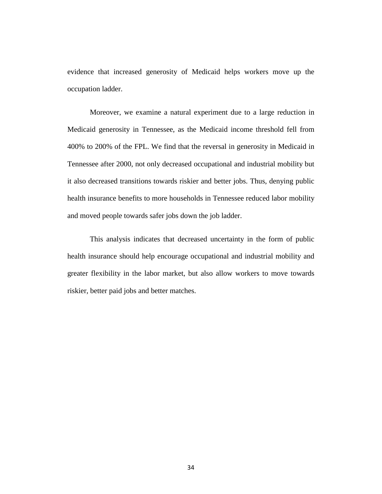evidence that increased generosity of Medicaid helps workers move up the occupation ladder.

Moreover, we examine a natural experiment due to a large reduction in Medicaid generosity in Tennessee, as the Medicaid income threshold fell from 400% to 200% of the FPL. We find that the reversal in generosity in Medicaid in Tennessee after 2000, not only decreased occupational and industrial mobility but it also decreased transitions towards riskier and better jobs. Thus, denying public health insurance benefits to more households in Tennessee reduced labor mobility and moved people towards safer jobs down the job ladder.

This analysis indicates that decreased uncertainty in the form of public health insurance should help encourage occupational and industrial mobility and greater flexibility in the labor market, but also allow workers to move towards riskier, better paid jobs and better matches.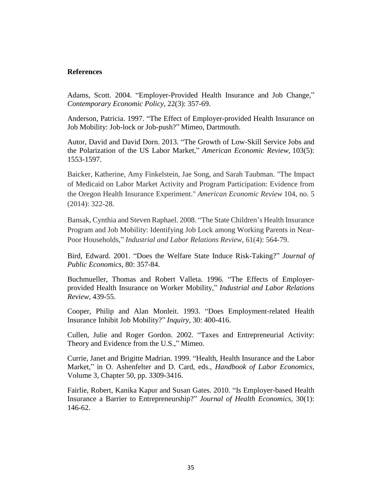### **References**

Adams, Scott. 2004. "Employer-Provided Health Insurance and Job Change," *Contemporary Economic Policy*, 22(3): 357-69.

Anderson, Patricia. 1997. "The Effect of Employer-provided Health Insurance on Job Mobility: Job-lock or Job-push?" Mimeo, Dartmouth.

Autor, David and David Dorn. 2013. "The Growth of Low-Skill Service Jobs and the Polarization of the US Labor Market," *American Economic Review,* 103(5): 1553-1597.

Baicker, Katherine, Amy Finkelstein, Jae Song, and Sarah Taubman. "The Impact of Medicaid on Labor Market Activity and Program Participation: Evidence from the Oregon Health Insurance Experiment." *American Economic Review* 104, no. 5 (2014): 322-28.

Bansak, Cynthia and Steven Raphael. 2008. "The State Children's Health Insurance Program and Job Mobility: Identifying Job Lock among Working Parents in Near-Poor Households," *Industrial and Labor Relations Review*, 61(4): 564-79.

Bird, Edward. 2001. "Does the Welfare State Induce Risk-Taking?" *Journal of Public Economics*, 80: 357-84.

Buchmueller, Thomas and Robert Valleta. 1996. "The Effects of Employerprovided Health Insurance on Worker Mobility," *Industrial and Labor Relations Review*, 439-55.

Cooper, Philip and Alan Monleit. 1993. "Does Employment-related Health Insurance Inhibit Job Mobility?" *Inquiry*, 30: 400-416.

Cullen, Julie and Roger Gordon. 2002. "Taxes and Entrepreneurial Activity: Theory and Evidence from the U.S.," Mimeo.

Currie, Janet and Brigitte Madrian. 1999. "Health, Health Insurance and the Labor Market," in O. Ashenfelter and D. Card, eds., *Handbook of Labor Economics*, Volume 3, Chapter 50, pp. 3309-3416.

Fairlie, Robert, Kanika Kapur and Susan Gates. 2010. "Is Employer-based Health Insurance a Barrier to Entrepreneurship?" *Journal of Health Economics*, 30(1): 146-62.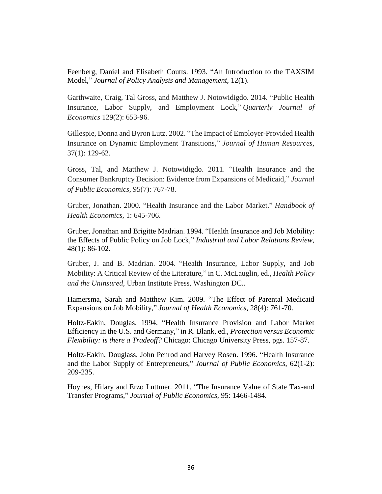Feenberg, Daniel and Elisabeth Coutts. 1993. "An Introduction to the TAXSIM Model," *Journal of Policy Analysis and Management*, 12(1).

Garthwaite, Craig, Tal Gross, and Matthew J. Notowidigdo. 2014. "Public Health Insurance, Labor Supply, and Employment Lock," *Quarterly Journal of Economics* 129(2): 653-96.

Gillespie, Donna and Byron Lutz. 2002. "The Impact of Employer-Provided Health Insurance on Dynamic Employment Transitions," *Journal of Human Resources*, 37(1): 129-62.

Gross, Tal, and Matthew J. Notowidigdo. 2011. "Health Insurance and the Consumer Bankruptcy Decision: Evidence from Expansions of Medicaid," *Journal of Public Economics,* 95(7): 767-78.

Gruber, Jonathan. 2000. "Health Insurance and the Labor Market." *Handbook of Health Economics,* 1: 645-706.

Gruber, Jonathan and Brigitte Madrian. 1994. "Health Insurance and Job Mobility: the Effects of Public Policy on Job Lock," *Industrial and Labor Relations Review*, 48(1): 86-102.

Gruber, J. and B. Madrian. 2004. "Health Insurance, Labor Supply, and Job Mobility: A Critical Review of the Literature," in C. McLauglin, ed., *Health Policy and the Uninsured*, Urban Institute Press, Washington DC..

Hamersma, Sarah and Matthew Kim. 2009. "The Effect of Parental Medicaid Expansions on Job Mobility," *Journal of Health Economics*, 28(4): 761-70.

Holtz-Eakin, Douglas. 1994. "Health Insurance Provision and Labor Market Efficiency in the U.S. and Germany," in R. Blank, ed., *Protection versus Economic Flexibility: is there a Tradeoff?* Chicago: Chicago University Press, pgs. 157-87.

Holtz-Eakin, Douglass, John Penrod and Harvey Rosen. 1996. "Health Insurance and the Labor Supply of Entrepreneurs," *Journal of Public Economics*, 62(1-2): 209-235.

Hoynes, Hilary and Erzo Luttmer. 2011. "The Insurance Value of State Tax-and Transfer Programs," *Journal of Public Economics*, 95: 1466-1484.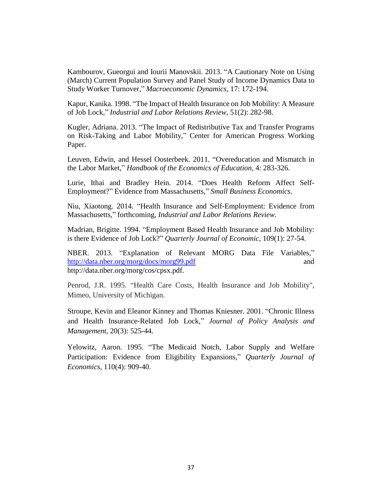Kambourov, Gueorgui and Iourii Manovskii. 2013. "A Cautionary Note on Using (March) Current Population Survey and Panel Study of Income Dynamics Data to Study Worker Turnover," *Macroeconomic Dynamics*, 17: 172-194.

Kapur, Kanika. 1998. "The Impact of Health Insurance on Job Mobility: A Measure of Job Lock," *Industrial and Labor Relations Review*, 51(2): 282-98.

Kugler, Adriana. 2013. "The Impact of Redistributive Tax and Transfer Programs on Risk-Taking and Labor Mobility," Center for American Progress Working Paper.

Leuven, Edwin, and Hessel Oosterbeek. 2011. "Overeducation and Mismatch in the Labor Market," *Handbook of the Economics of Education,* 4: 283-326.

Lurie, Ithai and Bradley Hein. 2014. "Does Health Reform Affect Self-Employment?" Evidence from Massachusetts," *Small Business Economics*.

Niu, Xiaotong. 2014. "Health Insurance and Self-Employment: Evidence from Massachusetts," forthcoming, *Industrial and Labor Relations Review*.

Madrian, Brigitte. 1994. "Employment Based Health Insurance and Job Mobility: is there Evidence of Job Lock?" *Quarterly Journal of Economic*, 109(1): 27-54.

NBER. 2013. "Explanation of Relevant MORG Data File Variables," <http://data.nber.org/morg/docs/morg99.pdf> and http://data.nber.org/morg/cos/cpsx.pdf.

Penrod, J.R. 1995. "Health Care Costs, Health Insurance and Job Mobility", Mimeo, University of Michigan.

Stroupe, Kevin and Eleanor Kinney and Thomas Kniesner. 2001. "Chronic Illness and Health Insurance-Related Job Lock," *Journal of Policy Analysis and Management*, 20(3): 525-44.

Yelowitz, Aaron. 1995. "The Medicaid Notch, Labor Supply and Welfare Participation: Evidence from Eligibility Expansions," *Quarterly Journal of Economics*, 110(4): 909-40.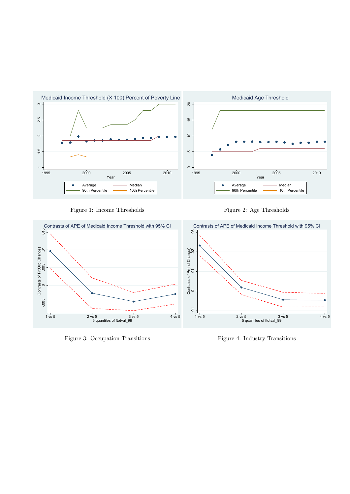

Figure 1: Income Thresholds

Figure 2: Age Thresholds



Figure 4: Industry Transitions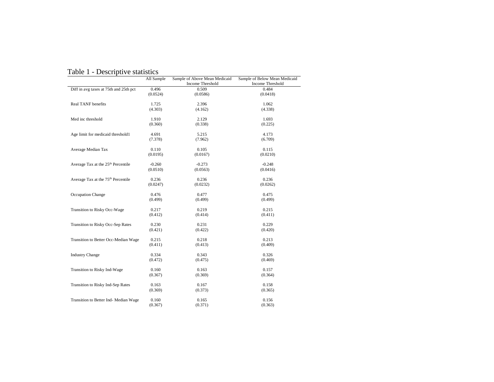| Table 1 - Descriptive statistics |  |
|----------------------------------|--|
|----------------------------------|--|

|                                                | All Sample | Sample of Above Mean Medicaid | Sample of Below Mean Medicaid |
|------------------------------------------------|------------|-------------------------------|-------------------------------|
|                                                |            | Income Threshold              | Income Threshold              |
| Diff in avg taxes at 75th and 25th pct         | 0.496      | 0.509                         | 0.484                         |
|                                                | (0.0524)   | (0.0586)                      | (0.0418)                      |
| Real TANF benefits                             | 1.725      | 2.396                         | 1.062                         |
|                                                | (4.303)    | (4.162)                       | (4.338)                       |
| Med inc threshold                              | 1.910      | 2.129                         | 1.693                         |
|                                                | (0.360)    | (0.338)                       | (0.225)                       |
| Age limit for medicaid threshold1              | 4.691      | 5.215                         | 4.173                         |
|                                                | (7.378)    | (7.962)                       | (6.709)                       |
| Average Median Tax                             | 0.110      | 0.105                         | 0.115                         |
|                                                | (0.0195)   | (0.0167)                      | (0.0210)                      |
| Average Tax at the 25 <sup>th</sup> Percentile | $-0.260$   | $-0.273$                      | $-0.248$                      |
|                                                | (0.0510)   | (0.0563)                      | (0.0416)                      |
| Average Tax at the 75 <sup>th</sup> Percentile | 0.236      | 0.236                         | 0.236                         |
|                                                | (0.0247)   | (0.0232)                      | (0.0262)                      |
| Occupation Change                              | 0.476      | 0.477                         | 0.475                         |
|                                                | (0.499)    | (0.499)                       | (0.499)                       |
| Transition to Risky Occ-Wage                   | 0.217      | 0.219                         | 0.215                         |
|                                                | (0.412)    | (0.414)                       | (0.411)                       |
| Transition to Risky Occ-Sep Rates              | 0.230      | 0.231                         | 0.229                         |
|                                                | (0.421)    | (0.422)                       | (0.420)                       |
| Transition to Better Occ-Median Wage           | 0.215      | 0.218                         | 0.213                         |
|                                                | (0.411)    | (0.413)                       | (0.409)                       |
| <b>Industry Change</b>                         | 0.334      | 0.343                         | 0.326                         |
|                                                | (0.472)    | (0.475)                       | (0.469)                       |
| Transition to Risky Ind-Wage                   | 0.160      | 0.163                         | 0.157                         |
|                                                | (0.367)    | (0.369)                       | (0.364)                       |
| Transition to Risky Ind-Sep Rates              | 0.163      | 0.167                         | 0.158                         |
|                                                | (0.369)    | (0.373)                       | (0.365)                       |
| Transition to Better Ind- Median Wage          | 0.160      | 0.165                         | 0.156                         |
|                                                | (0.367)    | (0.371)                       | (0.363)                       |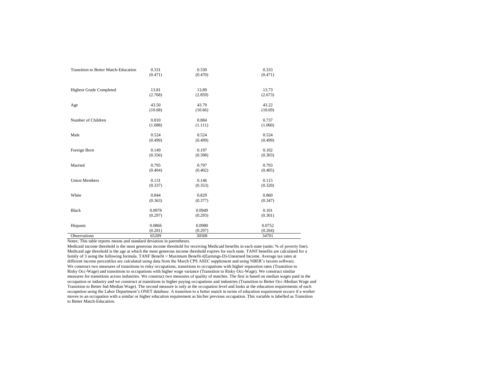| Transition to Better Match-Education | 0.331   | 0.330   | 0.333   |
|--------------------------------------|---------|---------|---------|
|                                      | (0.471) | (0.470) | (0.471) |
|                                      |         |         |         |
|                                      |         |         |         |
| <b>Highest Grade Completed</b>       | 13.81   | 13.89   | 13.73   |
|                                      | (2.768) | (2.859) | (2.673) |
| Age                                  | 43.50   | 43.79   | 43.22   |
|                                      | (10.68) | (10.66) | (10.69) |
|                                      |         |         |         |
| Number of Children                   | 0.810   | 0.884   | 0.737   |
|                                      | (1.088) | (1.111) | (1.060) |
| Male                                 | 0.524   | 0.524   | 0.524   |
|                                      | (0.499) | (0.499) | (0.499) |
|                                      |         |         |         |
| Foreign Born                         | 0.149   | 0.197   | 0.102   |
|                                      | (0.356) | (0.398) | (0.303) |
| Married                              | 0.795   | 0.797   | 0.793   |
|                                      | (0.404) | (0.402) | (0.405) |
|                                      |         |         |         |
| <b>Union Members</b>                 | 0.131   | 0.146   | 0.115   |
|                                      | (0.337) | (0.353) | (0.320) |
| White                                | 0.844   | 0.829   | 0.860   |
|                                      | (0.363) | (0.377) | (0.347) |
|                                      |         |         |         |
| <b>Black</b>                         | 0.0978  | 0.0949  | 0.101   |
|                                      | (0.297) | (0.293) | (0.301) |
| Hispanic                             | 0.0866  | 0.0980  | 0.0752  |
|                                      |         |         |         |
|                                      | (0.281) | (0.297) | (0.264) |
| Observations                         | 65209   | 30508   | 34701   |

Notes: This table reports means and standard deviation in parentheses.

Medicaid income threshold is the most generous income threshold for receiving Medicaid benefits in each state (units: % of poverty line). Medicaid age threshold is the age at which the most generous income threshold expires for each state. TANF benefits are calculated for a family of 3 using the following formula. TANF Benefit = Maximum Benefit-t(Earnings-D)-Unearned Income. Average tax rates at different income percentiles are calculated using data from the March CPS ASEC supplement and using NBER's taxsim software. We construct two measures of transitions to risky occupations, transitions to occupations with higher separation rates (Transition to Risky Occ-Wage) and transitions to occupations with higher wage variance (Transition to Risky Occ-Wage). We construct similar measures for transitions across industries. We construct two measures of quality of matches. The first is based on median wages paid in the occupation or industry and we construct at transitions to higher paying occupations and industries (Transition to Better Occ-Median Wage and Transition to Better Ind-Median Wage). The second measure is only at the occupation level and looks at the education requirements of each occupation using the Labor Department's ONET database. A transition to a better match in terms of education requirement occurs if a worker moves to an occupation with a similar or higher education requirement as his/her previous occupation. This variable is labelled as Transition to Better Match-Education.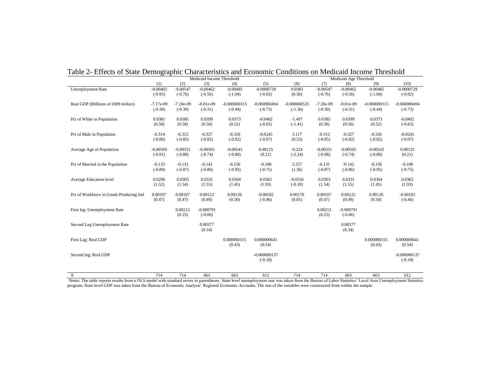|                                         | Medicaid Income Threshold |             |             |                |                | Medicaid Age Threshold |             |             |                |                |  |
|-----------------------------------------|---------------------------|-------------|-------------|----------------|----------------|------------------------|-------------|-------------|----------------|----------------|--|
|                                         | (1)                       | (2)         | (3)         | (4)            | (5)            | (6)                    | (7)         | (8)         | (9)            | (10)           |  |
| Unemployment Rate                       | $-0.00402$                | $-0.00547$  | $-0.00462$  | $-0.00485$     | $-0.0000729$   | 0.0383                 | $-0.00547$  | $-0.00462$  | $-0.00485$     | $-0.0000729$   |  |
|                                         | $(-0.95)$                 | $(-0.76)$   | $(-0.56)$   | $(-1.04)$      | $(-0.02)$      | (0.56)                 | $(-0.76)$   | $(-0.56)$   | $(-1.04)$      | $(-0.02)$      |  |
|                                         |                           |             |             |                |                |                        |             |             |                |                |  |
| Real GDP (Millions of 2009 dollars)     | $-7.17e-09$               | $-7.20e-09$ | $-8.01e-09$ | $-0.000000315$ | $-0.000000494$ | $-0.000000525$         | $-7.20e-09$ | $-8.01e-09$ | $-0.000000315$ | $-0.000000494$ |  |
|                                         | $(-0.30)$                 | $(-0.30)$   | $(-0.31)$   | $(-0.44)$      | $(-0.73)$      | $(-1.36)$              | $(-0.30)$   | $(-0.31)$   | $(-0.44)$      | $(-0.73)$      |  |
|                                         | 0.0381                    |             | 0.0399      | 0.0373         | $-0.0402$      | $-1.497$               | 0.0385      | 0.0399      | 0.0373         | $-0.0402$      |  |
| Pct of White in Population              |                           | 0.0385      |             |                |                |                        |             |             |                |                |  |
|                                         | (0.58)                    | (0.58)      | (0.56)      | (0.52)         | $(-0.65)$      | $(-1.41)$              | (0.58)      | (0.56)      | (0.52)         | $(-0.65)$      |  |
| Pct of Male in Population               | $-0.314$                  | $-0.312$    | $-0.327$    | $-0.326$       | $-0.0245$      | 3.117                  | $-0.312$    | $-0.327$    | $-0.326$       | $-0.0245$      |  |
|                                         | $(-0.86)$                 | $(-0.85)$   | $(-0.82)$   | $(-0.82)$      | $(-0.07)$      | (0.53)                 | $(-0.85)$   | $(-0.82)$   | $(-0.82)$      | $(-0.07)$      |  |
|                                         |                           |             |             |                |                |                        |             |             |                |                |  |
| Average Age of Population               | $-0.00569$                | $-0.00551$  | $-0.00505$  | $-0.00543$     | 0.00125        | $-0.224$               | $-0.00551$  | $-0.00505$  | $-0.00543$     | 0.00125        |  |
|                                         | $(-0.91)$                 | $(-0.88)$   | $(-0.74)$   | $(-0.80)$      | (0.21)         | $(-2.24)$              | $(-0.88)$   | $(-0.74)$   | $(-0.80)$      | (0.21)         |  |
|                                         |                           |             |             |                |                |                        |             |             |                |                |  |
| Pct of Married in the Population        | $-0.133$                  | $-0.131$    | $-0.142$    | $-0.156$       | $-0.108$       | 3.257                  | $-0.131$    | $-0.142$    | $-0.156$       | $-0.108$       |  |
|                                         | $(-0.89)$                 | $(-0.87)$   | $(-0.86)$   | $(-0.95)$      | $(-0.75)$      | (1.36)                 | $(-0.87)$   | $(-0.86)$   | $(-0.95)$      | $(-0.75)$      |  |
|                                         |                           |             |             |                |                |                        |             |             |                |                |  |
| Average Education level                 | 0.0296                    | 0.0303      | 0.0331      | 0.0304         | 0.0362         | $-0.0556$              | 0.0303      | 0.0331      | 0.0304         | 0.0362         |  |
|                                         | (1.52)                    | (1.54)      | (1.55)      | (1.45)         | (1.93)         | $(-0.18)$              | (1.54)      | (1.55)      | (1.45)         | (1.93)         |  |
|                                         |                           |             |             |                |                |                        |             |             |                |                |  |
| Pct of Workforce in Goods Producing Ind | 0.00107                   | 0.00107     | 0.00122     | 0.00126        | $-0.00102$     | 0.00178                | 0.00107     | 0.00122     | 0.00126        | $-0.00102$     |  |
|                                         | (0.47)                    | (0.47)      | (0.49)      | (0.50)         | $(-0.46)$      | (0.05)                 | (0.47)      | (0.49)      | (0.50)         | $(-0.46)$      |  |
|                                         |                           |             |             |                |                |                        |             |             |                |                |  |
| First lag: Unemployment Rate            |                           | 0.00212     | $-0.000791$ |                |                |                        | 0.00212     | $-0.000791$ |                |                |  |
|                                         |                           | (0.25)      | $(-0.06)$   |                |                |                        | (0.25)      | $(-0.06)$   |                |                |  |
| Second Lag Unemployment Rate            |                           |             | 0.00377     |                |                |                        |             | 0.00377     |                |                |  |
|                                         |                           |             | (0.34)      |                |                |                        |             | (0.34)      |                |                |  |
|                                         |                           |             |             |                |                |                        |             |             |                |                |  |
| First Lag: Real GDP                     |                           |             |             | 0.000000315    | 0.000000641    |                        |             |             | 0.000000315    | 0.000000641    |  |
|                                         |                           |             |             | (0.43)         | (0.54)         |                        |             |             | (0.43)         | (0.54)         |  |
|                                         |                           |             |             |                |                |                        |             |             |                |                |  |
| Second lag: Real GDP                    |                           |             |             |                | $-0.000000137$ |                        |             |             |                | $-0.000000137$ |  |
|                                         |                           |             |             |                | $(-0.18)$      |                        |             |             |                | $(-0.18)$      |  |
|                                         |                           |             |             |                |                |                        |             |             |                |                |  |
|                                         |                           |             |             |                |                |                        |             |             |                |                |  |

Table 2- Effects of State Demographic Characteristics and Economic Conditions on Medicaid Income Threshold

*N* 714 714 663 663 612 714 714 663 663 612 Notes: The table reports results from a OLS model with standard errors in parentheses. State level unemployment rate was taken from the Bureau of Labor Statistics' Local Area Unemployment Statistics program. State level GDP was taken from the Bureau of Economic Analysis' Regional Economic Accounts. The rest of the variables were constructed from within the sample.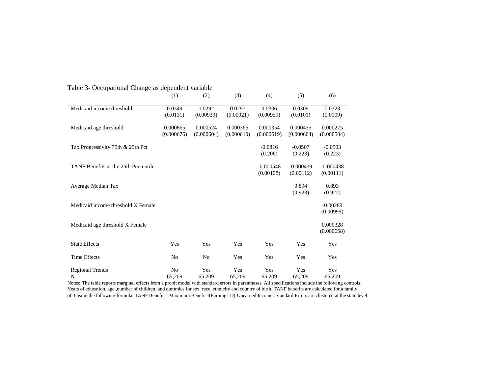|                                      | (1)                    | (2)                    | (3)                    | (4)                      | (5)                      | (6)                      |
|--------------------------------------|------------------------|------------------------|------------------------|--------------------------|--------------------------|--------------------------|
| Medicaid income threshold            | 0.0349<br>(0.0131)     | 0.0292<br>(0.00939)    | 0.0297<br>(0.00921)    | 0.0306<br>(0.00959)      | 0.0309<br>(0.0101)       | 0.0323<br>(0.0109)       |
| Medicaid age threshold               | 0.000865<br>(0.000676) | 0.000524<br>(0.000604) | 0.000366<br>(0.000610) | 0.000354<br>(0.000619)   | 0.000435<br>(0.000604)   | 0.000275<br>(0.000504)   |
| Tax Progressivity 75th & 25th Pct    |                        |                        |                        | $-0.0816$<br>(0.206)     | $-0.0507$<br>(0.223)     | $-0.0503$<br>(0.223)     |
| TANF Benefits at the 25th Percentile |                        |                        |                        | $-0.000548$<br>(0.00108) | $-0.000439$<br>(0.00112) | $-0.000438$<br>(0.00111) |
| Average Median Tax                   |                        |                        |                        |                          | 0.894<br>(0.923)         | 0.893<br>(0.922)         |
| Medicaid income threshold X Female   |                        |                        |                        |                          |                          | $-0.00289$<br>(0.00999)  |
| Medicaid age threshold X Female      |                        |                        |                        |                          |                          | 0.000328<br>(0.000658)   |
| <b>State Effects</b>                 | Yes                    | Yes                    | Yes                    | Yes                      | Yes                      | Yes                      |
| <b>Time Effects</b>                  | No                     | N <sub>0</sub>         | Yes                    | Yes                      | Yes                      | Yes                      |
| <b>Regional Trends</b>               | N <sub>0</sub>         | Yes                    | Yes                    | Yes                      | Yes                      | Yes                      |
| $\boldsymbol{N}$                     | 65,209                 | 65,209                 | 65,209                 | 65,209                   | 65,209                   | 65,209                   |

Table 3- Occupational Change as dependent variable

Notes: The table reports marginal effects from a probit model with standard errors in parentheses. All specifications include the following controls: Years of education, age ,number of children, and dummies for sex, race, ethnicity and country of birth. TANF benefits are calculated for a family of 3 using the following formula. TANF Benefit = Maximum Benefit-t(Earnings-D)-Unearned Income. Standard Errors are clustered at the state level.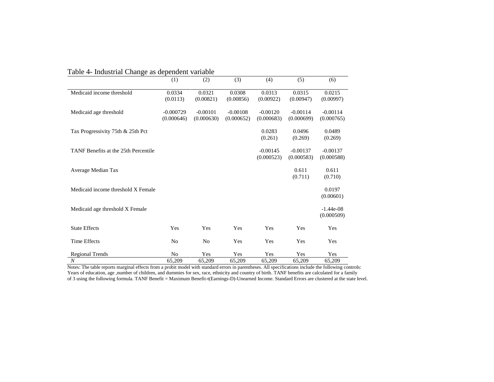|                                      | (1)                       | (2)                      | (3)                      | (4)                      | (5)                      | (6)                       |
|--------------------------------------|---------------------------|--------------------------|--------------------------|--------------------------|--------------------------|---------------------------|
| Medicaid income threshold            | 0.0334<br>(0.0113)        | 0.0321<br>(0.00821)      | 0.0308<br>(0.00856)      | 0.0313<br>(0.00922)      | 0.0315<br>(0.00947)      | 0.0215<br>(0.00997)       |
| Medicaid age threshold               | $-0.000729$<br>(0.000646) | $-0.00101$<br>(0.000630) | $-0.00108$<br>(0.000652) | $-0.00120$<br>(0.000683) | $-0.00114$<br>(0.000699) | $-0.00114$<br>(0.000765)  |
| Tax Progressivity 75th & 25th Pct    |                           |                          |                          | 0.0283<br>(0.261)        | 0.0496<br>(0.269)        | 0.0489<br>(0.269)         |
| TANF Benefits at the 25th Percentile |                           |                          |                          | $-0.00145$<br>(0.000523) | $-0.00137$<br>(0.000583) | $-0.00137$<br>(0.000588)  |
| Average Median Tax                   |                           |                          |                          |                          | 0.611<br>(0.711)         | 0.611<br>(0.710)          |
| Medicaid income threshold X Female   |                           |                          |                          |                          |                          | 0.0197<br>(0.00601)       |
| Medicaid age threshold X Female      |                           |                          |                          |                          |                          | $-1.44e-08$<br>(0.000509) |
| <b>State Effects</b>                 | Yes                       | Yes                      | Yes                      | Yes                      | Yes                      | Yes                       |
| <b>Time Effects</b>                  | N <sub>0</sub>            | N <sub>0</sub>           | Yes                      | Yes                      | Yes                      | Yes                       |
| <b>Regional Trends</b>               | N <sub>0</sub>            | Yes                      | Yes                      | Yes                      | Yes                      | Yes                       |
| $\boldsymbol{N}$                     | 65,209                    | 65,209                   | 65,209                   | 65,209                   | 65,209                   | 65,209                    |

Table 4- Industrial Change as dependent variable

Notes: The table reports marginal effects from a probit model with standard errors in parentheses. All specifications include the following controls: Years of education, age ,number of children, and dummies for sex, race, ethnicity and country of birth. TANF benefits are calculated for a family of 3 using the following formula. TANF Benefit = Maximum Benefit-t(Earnings-D)-Unearned Income. Standard Errors are clustered at the state level.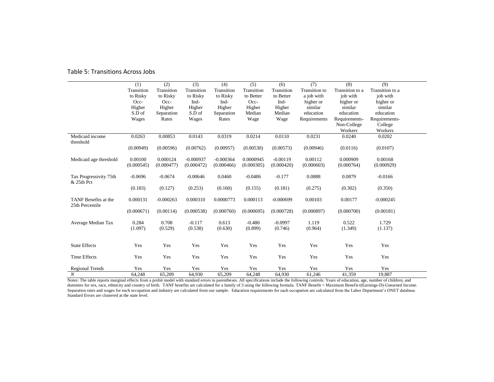|                                         | (1)        | (2)         | (3)         | (4)         | (5)        | (6)         | (7)                  | (8)             | (9)             |  |
|-----------------------------------------|------------|-------------|-------------|-------------|------------|-------------|----------------------|-----------------|-----------------|--|
|                                         | Transition | Transition  | Transition  | Transition  | Transition | Transition  | <b>Transition</b> to | Transition to a | Transition to a |  |
|                                         | to Risky   | to Risky    | to Risky    | to Risky    | to Better  | to Better   | a job with           | job with        | job with        |  |
|                                         | $Occ-$     | Occ-        | Ind-        | Ind-        | Occ-       | Ind-        | higher or            | higher or       | higher or       |  |
|                                         | Higher     | Higher      | Higher      | Higher      | Higher     | Higher      | similar              | similar         | similar         |  |
|                                         | S.D of     | Separation  | S.D of      | Separation  | Median     | Median      | education            | education       | education       |  |
|                                         | Wages      | Rates       | Wages       | Rates       | Wage       | Wage        | Requirements         | Requirements-   | Requirements-   |  |
|                                         |            |             |             |             |            |             |                      | Non-College     | College         |  |
|                                         |            |             |             |             |            |             |                      | Workers         | Workers         |  |
| Medicaid income<br>threshold            | 0.0263     | 0.00853     | 0.0143      | 0.0319      | 0.0214     | 0.0110      | 0.0231               | 0.0240          | 0.0202          |  |
|                                         | (0.00949)  | (0.00596)   | (0.00762)   | (0.00957)   | (0.00530)  | (0.00573)   | (0.00946)            | (0.0116)        | (0.0107)        |  |
| Medicaid age threshold                  | 0.00100    | 0.000124    | $-0.000937$ | $-0.000364$ | 0.0000945  | $-0.00119$  | 0.00112              | 0.000909        | 0.00168         |  |
|                                         | (0.000545) | (0.000477)  | (0.000472)  | (0.000466)  | (0.000305) | (0.000420)  | (0.000603)           | (0.000764)      | (0.000929)      |  |
| Tax Progressivity 75th<br>& 25th Pct    | $-0.0696$  | $-0.0674$   | $-0.00646$  | 0.0460      | $-0.0486$  | $-0.177$    | 0.0888               | 0.0879          | $-0.0166$       |  |
|                                         | (0.183)    | (0.127)     | (0.253)     | (0.160)     | (0.155)    | (0.181)     | (0.275)              | (0.302)         | (0.350)         |  |
| TANF Benefits at the<br>25th Percentile | 0.000131   | $-0.000263$ | 0.000310    | 0.0000773   | 0.000113   | $-0.000699$ | 0.00103              | 0.00177         | $-0.000245$     |  |
|                                         | (0.000671) | (0.00114)   | (0.000538)  | (0.000760)  | (0.000695) | (0.000728)  | (0.000897)           | (0.000700)      | (0.00181)       |  |
| Average Median Tax                      | 0.284      | 0.708       | $-0.117$    | 0.613       | $-0.480$   | $-0.0997$   | 1.119                | 0.522           | 1.729           |  |
|                                         | (1.097)    | (0.529)     | (0.538)     | (0.630)     | (0.899)    | (0.746)     | (0.964)              | (1.349)         | (1.137)         |  |
| <b>State Effects</b>                    | Yes        | Yes         | Yes         | Yes         | Yes        | Yes         | Yes                  | Yes             | Yes             |  |
| Time Effects                            | Yes        | Yes         | Yes         | Yes         | Yes        | Yes         | Yes                  | Yes             | Yes             |  |
| <b>Regional Trends</b>                  | Yes        | Yes         | Yes         | Yes         | Yes        | Yes         | Yes                  | Yes             | Yes             |  |
| $\boldsymbol{N}$                        | 64,248     | 65,209      | 64,930      | 65,209      | 64,248     | 64,930      | 61,246               | 41,359          | 19.887          |  |

#### Table 5: Transitions Across Jobs

Notes: The table reports marginal effects from a probit model with standard errors in parentheses. All specifications include the following controls: Years of education, age, number of children, and dummies for sex, race, ethnicity and country of birth. TANF benefits are calculated for a family of 3 using the following formula. TANF Benefit = Maximum Benefit-t(Earnings-D)-Unearned Income. Separation rates and wages for each occupation and industry are calculated from our sample. Education requirements for each occupation are calculated from the Labor Department's ONET database. Standard Errors are clustered at the state level.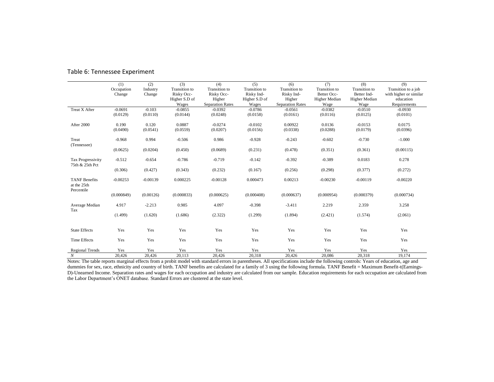|                                                   | (1)        | (2)        | (3)           | (4)                     | (5)           | (6)                     | (7)           | (8)                  | (9)                    |
|---------------------------------------------------|------------|------------|---------------|-------------------------|---------------|-------------------------|---------------|----------------------|------------------------|
|                                                   | Occupation | Industry   | Transition to | Transition to           | Transition to | Transition to           | Transition to | <b>Transition</b> to | Transition to a job    |
|                                                   | Change     | Change     | Risky Occ-    | Risky Occ-              | Risky Ind-    | Risky Ind-              | Better Occ-   | Better Ind-          | with higher or similar |
|                                                   |            |            | Higher S.D of | Higher                  | Higher S.D of | Higher                  | Higher Median | Higher Median        | education              |
|                                                   |            |            | Wages         | <b>Separation Rates</b> | Wages         | <b>Separation Rates</b> | Wage          | Wage                 | Requirements           |
| Treat X After                                     | $-0.0691$  | $-0.103$   | $-0.0855$     | $-0.0392$               | $-0.0786$     | $-0.0561$               | $-0.0382$     | $-0.0510$            | $-0.0930$              |
|                                                   | (0.0129)   | (0.0110)   | (0.0144)      | (0.0248)                | (0.0158)      | (0.0161)                | (0.0116)      | (0.0125)             | (0.0101)               |
| After 2000                                        | 0.190      | 0.120      | 0.0887        | $-0.0274$               | $-0.0102$     | 0.00922                 | 0.0136        | $-0.0153$            | 0.0175                 |
|                                                   | (0.0490)   | (0.0541)   | (0.0559)      | (0.0207)                | (0.0156)      | (0.0338)                | (0.0288)      | (0.0179)             | (0.0396)               |
| Treat<br>(Tennessee)                              | $-0.968$   | 0.994      | $-0.506$      | 0.986                   | $-0.928$      | $-0.243$                | $-0.602$      | $-0.730$             | $-1.000$               |
|                                                   | (0.0625)   | (0.0204)   | (0.450)       | (0.0689)                | (0.231)       | (0.478)                 | (0.351)       | (0.361)              | (0.00115)              |
| Tax Progressivity<br>75th & 25th Pct              | $-0.512$   | $-0.654$   | $-0.786$      | $-0.719$                | $-0.142$      | $-0.392$                | $-0.389$      | 0.0183               | 0.278                  |
|                                                   | (0.306)    | (0.427)    | (0.343)       | (0.232)                 | (0.167)       | (0.256)                 | (0.298)       | (0.377)              | (0.272)                |
| <b>TANF</b> Benefits<br>at the 25th<br>Percentile | $-0.00253$ | $-0.00139$ | 0.000225      | $-0.00128$              | 0.000473      | 0.00213                 | $-0.00230$    | $-0.00119$           | $-0.00220$             |
|                                                   | (0.000849) | (0.00126)  | (0.000833)    | (0.000625)              | (0.000408)    | (0.000637)              | (0.000954)    | (0.000379)           | (0.000734)             |
| Average Median<br>Tax                             | 4.917      | $-2.213$   | 0.985         | 4.097                   | $-0.398$      | $-3.411$                | 2.219         | 2.359                | 3.258                  |
|                                                   | (1.499)    | (1.620)    | (1.686)       | (2.322)                 | (1.299)       | (1.894)                 | (2.421)       | (1.574)              | (2.061)                |
| <b>State Effects</b>                              | Yes        | Yes        | Yes           | Yes                     | Yes           | Yes                     | Yes           | Yes                  | Yes                    |
| <b>Time Effects</b>                               | Yes        | Yes        | Yes           | Yes                     | Yes           | Yes                     | Yes           | Yes                  | Yes                    |
| <b>Regional Trends</b>                            | Yes        | Yes        | Yes           | Yes                     | Yes           | Yes                     | Yes           | Yes                  | Yes                    |
| $\boldsymbol{N}$                                  | 20.426     | 20,426     | 20,113        | 20.426                  | 20.318        | 20,426                  | 20.086        | 20.318               | 19.174                 |

#### Table 6: Tennessee Experiment

Notes: The table reports marginal effects from a probit model with standard errors in parentheses. All specifications include the following controls: Years of education, age and dummies for sex, race, ethnicity and country of birth. TANF benefits are calculated for a family of 3 using the following formula. TANF Benefit = Maximum Benefit-t(Earnings-D)-Unearned Income. Separation rates and wages for each occupation and industry are calculated from our sample. Education requirements for each occupation are calculated from the Labor Department's ONET database. Standard Errors are clustered at the state level.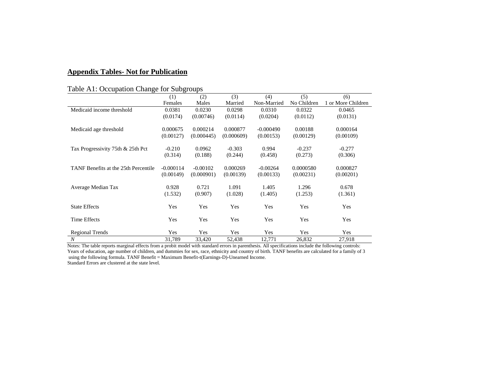# **Appendix Tables- Not for Publication**

# Table A1: Occupation Change for Subgroups

|                                      | (1)         | (2)        | (3)        | (4)         | (5)         | (6)                |
|--------------------------------------|-------------|------------|------------|-------------|-------------|--------------------|
|                                      | Females     | Males      | Married    | Non-Married | No Children | 1 or More Children |
| Medicaid income threshold            | 0.0381      | 0.0230     | 0.0298     | 0.0310      | 0.0322      | 0.0465             |
|                                      | (0.0174)    | (0.00746)  | (0.0114)   | (0.0204)    | (0.0112)    | (0.0131)           |
|                                      |             |            |            |             |             |                    |
| Medicaid age threshold               | 0.000675    | 0.000214   | 0.000877   | $-0.000490$ | 0.00188     | 0.000164           |
|                                      | (0.00127)   | (0.000445) | (0.000609) | (0.00153)   | (0.00129)   | (0.00109)          |
|                                      |             |            |            |             |             |                    |
| Tax Progressivity 75th & 25th Pct    | $-0.210$    | 0.0962     | $-0.303$   | 0.994       | $-0.237$    | $-0.277$           |
|                                      | (0.314)     | (0.188)    | (0.244)    | (0.458)     | (0.273)     | (0.306)            |
|                                      |             |            |            |             |             |                    |
| TANF Benefits at the 25th Percentile | $-0.000114$ | $-0.00102$ | 0.000269   | $-0.00264$  | 0.0000580   | 0.000827           |
|                                      | (0.00149)   | (0.000901) | (0.00139)  | (0.00133)   | (0.00231)   | (0.00201)          |
|                                      |             |            |            |             |             |                    |
| Average Median Tax                   | 0.928       | 0.721      | 1.091      | 1.405       | 1.296       | 0.678              |
|                                      | (1.532)     | (0.907)    | (1.028)    | (1.405)     | (1.253)     | (1.361)            |
|                                      |             |            |            |             |             |                    |
| <b>State Effects</b>                 | Yes         | Yes        | Yes        | Yes         | Yes         | Yes                |
|                                      |             |            |            |             |             |                    |
| Time Effects                         | Yes         | Yes        | Yes        | Yes         | Yes         | Yes                |
|                                      |             |            |            |             |             |                    |
| <b>Regional Trends</b>               | Yes         | Yes        | Yes        | Yes         | Yes         | Yes                |
| $\boldsymbol{N}$                     | 31,789      | 33,420     | 52,438     | 12,771      | 26,832      | 27,918             |

Notes: The table reports marginal effects from a probit model with standard errors in parenthesis. All specifications include the following controls: Years of education, age number of children, and dummies for sex, race, ethnicity and country of birth. TANF benefits are calculated for a family of 3 using the following formula. TANF Benefit = Maximum Benefit-t(Earnings-D)-Unearned Income.

Standard Errors are clustered at the state level.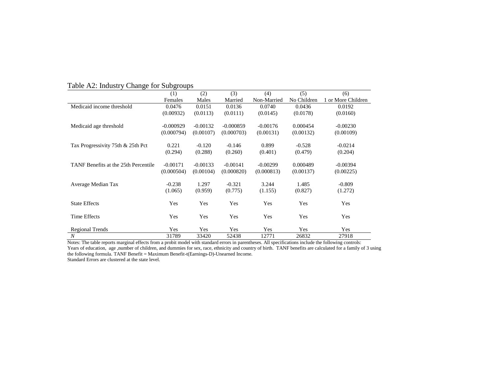|                                      | (1)         | (2)        | (3)         | (4)         | (5)         | (6)                |
|--------------------------------------|-------------|------------|-------------|-------------|-------------|--------------------|
|                                      | Females     | Males      | Married     | Non-Married | No Children | 1 or More Children |
| Medicaid income threshold            | 0.0476      | 0.0151     | 0.0136      | 0.0740      | 0.0436      | 0.0192             |
|                                      | (0.00932)   | (0.0113)   | (0.0111)    | (0.0145)    | (0.0178)    | (0.0160)           |
|                                      |             |            |             |             |             |                    |
| Medicaid age threshold               | $-0.000929$ | $-0.00132$ | $-0.000859$ | $-0.00176$  | 0.000454    | $-0.00230$         |
|                                      | (0.000794)  | (0.00107)  | (0.000703)  | (0.00131)   | (0.00132)   | (0.00109)          |
|                                      |             |            |             |             |             |                    |
| Tax Progressivity 75th & 25th Pct    | 0.221       | $-0.120$   | $-0.146$    | 0.899       | $-0.528$    | $-0.0214$          |
|                                      | (0.294)     | (0.288)    | (0.260)     | (0.401)     | (0.479)     | (0.204)            |
|                                      |             |            |             |             |             |                    |
| TANF Benefits at the 25th Percentile | $-0.00171$  | $-0.00133$ | $-0.00141$  | $-0.00299$  | 0.000489    | $-0.00394$         |
|                                      | (0.000504)  | (0.00104)  | (0.000820)  | (0.000813)  | (0.00137)   | (0.00225)          |
|                                      |             |            |             |             |             |                    |
| Average Median Tax                   | $-0.238$    | 1.297      | $-0.321$    | 3.244       | 1.485       | $-0.809$           |
|                                      | (1.065)     | (0.959)    | (0.775)     | (1.155)     | (0.827)     | (1.272)            |
|                                      |             |            |             |             |             |                    |
| <b>State Effects</b>                 | Yes         | Yes        | Yes         | Yes         | Yes         | Yes                |
|                                      |             |            |             |             |             |                    |
| Time Effects                         | Yes         | Yes        | Yes         | Yes         | Yes         | Yes                |
|                                      |             |            |             |             |             |                    |
| <b>Regional Trends</b>               | Yes         | Yes        | Yes         | Yes         | Yes         | Yes                |
| $\cal N$                             | 31789       | 33420      | 52438       | 12771       | 26832       | 27918              |

# Table A2: Industry Change for Subgroups

Notes: The table reports marginal effects from a probit model with standard errors in parentheses. All specifications include the following controls: Years of education, age ,number of children, and dummies for sex, race, ethnicity and country of birth. TANF benefits are calculated for a family of 3 using the following formula. TANF Benefit = Maximum Benefit-t(Earnings-D)-Unearned Income.

Standard Errors are clustered at the state level.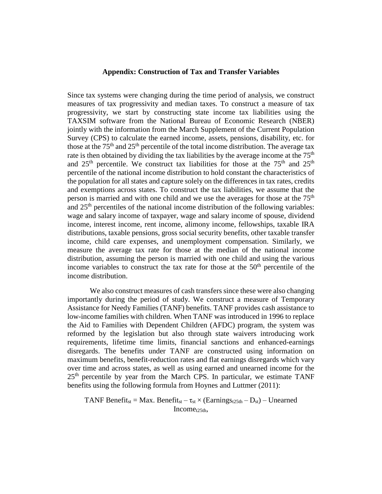### **Appendix: Construction of Tax and Transfer Variables**

Since tax systems were changing during the time period of analysis, we construct measures of tax progressivity and median taxes. To construct a measure of tax progressivity, we start by constructing state income tax liabilities using the TAXSIM software from the National Bureau of Economic Research (NBER) jointly with the information from the March Supplement of the Current Population Survey (CPS) to calculate the earned income, assets, pensions, disability, etc. for those at the  $75<sup>th</sup>$  and  $25<sup>th</sup>$  percentile of the total income distribution. The average tax rate is then obtained by dividing the tax liabilities by the average income at the  $75<sup>th</sup>$ and  $25<sup>th</sup>$  percentile. We construct tax liabilities for those at the  $75<sup>th</sup>$  and  $25<sup>th</sup>$ percentile of the national income distribution to hold constant the characteristics of the population for all states and capture solely on the differences in tax rates, credits and exemptions across states. To construct the tax liabilities, we assume that the person is married and with one child and we use the averages for those at the 75<sup>th</sup> and  $25<sup>th</sup>$  percentiles of the national income distribution of the following variables: wage and salary income of taxpayer, wage and salary income of spouse, dividend income, interest income, rent income, alimony income, fellowships, taxable IRA distributions, taxable pensions, gross social security benefits, other taxable transfer income, child care expenses, and unemployment compensation. Similarly, we measure the average tax rate for those at the median of the national income distribution, assuming the person is married with one child and using the various income variables to construct the tax rate for those at the  $50<sup>th</sup>$  percentile of the income distribution.

We also construct measures of cash transfers since these were also changing importantly during the period of study. We construct a measure of Temporary Assistance for Needy Families (TANF) benefits. TANF provides cash assistance to low-income families with children. When TANF was introduced in 1996 to replace the Aid to Families with Dependent Children (AFDC) program, the system was reformed by the legislation but also through state waivers introducing work requirements, lifetime time limits, financial sanctions and enhanced-earnings disregards. The benefits under TANF are constructed using information on maximum benefits, benefit-reduction rates and flat earnings disregards which vary over time and across states, as well as using earned and unearned income for the  $25<sup>th</sup>$  percentile by year from the March CPS. In particular, we estimate TANF benefits using the following formula from Hoynes and Luttmer (2011):

TANF Benefit<sub>st</sub> = Max. Benefit<sub>st</sub> –  $\tau_{st} \times (Earnings_{t25th} - D_{st})$  – Unearned  $Income<sub>t25th</sub>$ ,